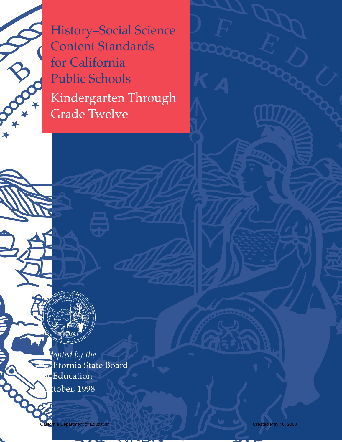History–Social Scie<br>Content Standards tory–Social Sci<br>htent Standard Content Standa<br>for California<br>Public Schools History–Social Science for California Kindergarten Through Grade Twelve

B

*Adopted by the*  **Education** California State Board tober, 1998

Created May 18, 2000

BOOK

D F LA<br>KA MM2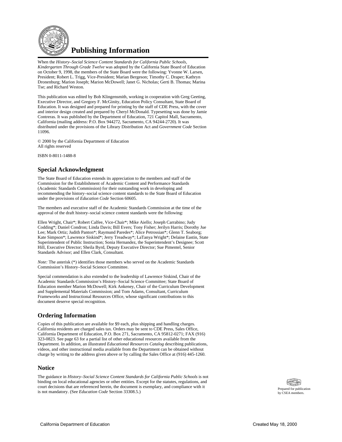

## **Publishing Information**

When the *History–Social Science Content Standards for California Public Schools, Kindergarten Through Grade Twelve* was adopted by the California State Board of Education on October 9, 1998, the members of the State Board were the following: Yvonne W. Larsen, President; Robert L. Trigg, Vice-President; Marian Bergeson; Timothy C. Draper; Kathryn Dronenburg; Marion Joseph; Marion McDowell; Janet G. Nicholas; Gerti B. Thomas; Marina Tse; and Richard Weston.

This publication was edited by Bob Klingensmith, working in cooperation with Greg Geeting, Executive Director, and Gregory F. McGinity, Education Policy Consultant, State Board of Education. It was designed and prepared for printing by the staff of CDE Press, with the cover and interior design created and prepared by Cheryl McDonald. Typesetting was done by Jamie Contreras. It was published by the Department of Education, 721 Capitol Mall, Sacramento, California (mailing address: P.O. Box 944272, Sacramento, CA 94244-2720). It was distributed under the provisions of the Library Distribution Act and *Government Code* Section 11096.

© 2000 by the California Department of Education All rights reserved

ISBN 0-8011-1488-8

#### **Special Acknowledgment**

The State Board of Education extends its appreciation to the members and staff of the Commission for the Establishment of Academic Content and Performance Standards (Academic Standards Commission) for their outstanding work in developing and recommending the history–social science content standards to the State Board of Education under the provisions of *Education Code* Section 60605.

The members and executive staff of the Academic Standards Commission at the time of the approval of the draft history–social science content standards were the following:

Ellen Wright, Chair\*; Robert Calfee, Vice-Chair\*; Mike Aiello; Joseph Carrabino; Judy Codding\*; Daniel Condron; Linda Davis; Bill Evers; Tony Fisher; Jerilyn Harris; Dorothy Jue Lee; Mark Ortiz; Judith Panton\*; Raymund Paredes\*; Alice Petrossian\*; Glenn T. Seaborg; Kate Simpson\*; Lawrence Siskind\*; Jerry Treadway\*; LaTanya Wright\*; Delaine Eastin, State Superintendent of Public Instruction; Sonia Hernandez, the Superintendent's Designee; Scott Hill, Executive Director; Sheila Byrd, Deputy Executive Director; Sue Pimentel, Senior Standards Advisor; and Ellen Clark, Consultant.

*Note:* The asterisk (\*) identifies those members who served on the Academic Standards Commission's History–Social Science Committee.

Special commendation is also extended to the leadership of Lawrence Siskind, Chair of the Academic Standards Commission's History–Social Science Committee; State Board of Education member Marion McDowell; Kirk Ankeney, Chair of the Curriculum Development and Supplemental Materials Commission; and Tom Adams, Consultant, Curriculum Frameworks and Instructional Resources Office, whose significant contributions to this document deserve special recognition.

#### **Ordering Information**

Copies of this publication are available for \$9 each, plus shipping and handling charges. California residents are charged sales tax. Orders may be sent to CDE Press, Sales Office, California Department of Education, P.O. Box 271, Sacramento, CA 95812-0271; FAX (916) 323-0823. See page 63 for a partial list of other educational resources available from the Department. In addition, an illustrated *Educational Resources Catalog* describing publications, videos, and other instructional media available from the Department can be obtained without charge by writing to the address given above or by calling the Sales Office at (916) 445-1260.

#### **Notice**

The guidance in *History–Social Science Content Standards for California Public Schools* is not binding on local educational agencies or other entities. Except for the statutes, regulations, and court decisions that are referenced herein, the document is exemplary, and compliance with it Prepared for publication is not mandatory. (See *Education Code* Section 33308.5.) by CSEA members.

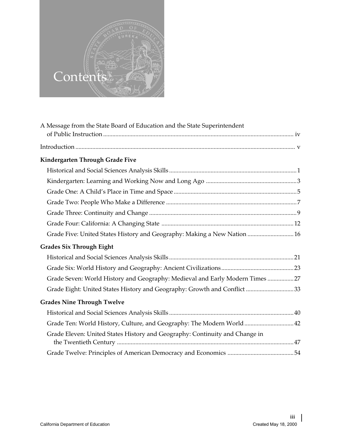

| Grade Five: United States History and Geography: Making a New Nation  16     |
|------------------------------------------------------------------------------|
|                                                                              |
|                                                                              |
|                                                                              |
| Grade Seven: World History and Geography: Medieval and Early Modern Times 27 |
| Grade Eight: United States History and Geography: Growth and Conflict 33     |
|                                                                              |
|                                                                              |
| Grade Ten: World History, Culture, and Geography: The Modern World42         |
|                                                                              |
|                                                                              |
|                                                                              |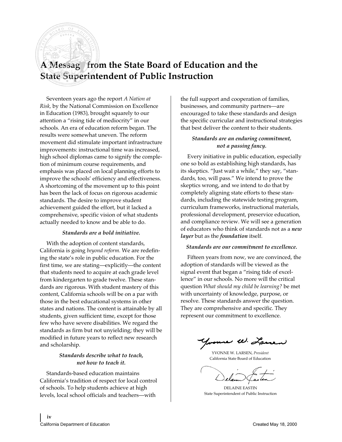## **A Message from the State Board of Education and the State Superintendent of Public Instruction**

Seventeen years ago the report *A Nation at Risk,* by the National Commission on Excellence in Education (1983), brought squarely to our attention a "rising tide of mediocrity" in our schools. An era of education reform began. The results were somewhat uneven. The reform movement did stimulate important infrastructure improvements: instructional time was increased, high school diplomas came to signify the completion of minimum course requirements, and emphasis was placed on local planning efforts to improve the schools' efficiency and effectiveness. A shortcoming of the movement up to this point has been the lack of focus on rigorous academic standards. The desire to improve student achievement guided the effort, but it lacked a comprehensive, specific vision of what students actually needed to know and be able to do.

#### *Standards are a bold initiative.*

With the adoption of content standards, California is going *beyond reform.* We are redefining the state's role in public education. For the first time, we are stating—explicitly—the content that students need to acquire at each grade level from kindergarten to grade twelve. These standards are rigorous. With student mastery of this content, California schools will be on a par with those in the best educational systems in other states and nations. The content is attainable by all students, given sufficient time, except for those few who have severe disabilities. We regard the standards as firm but not unyielding; they will be modified in future years to reflect new research and scholarship.

#### *Standards describe what to teach, not how to teach it.*

Standards-based education maintains California's tradition of respect for local control of schools. To help students achieve at high levels, local school officials and teachers—with

the full support and cooperation of families, businesses, and community partners—are encouraged to take these standards and design the specific curricular and instructional strategies that best deliver the content to their students.

#### *Standards are an enduring commitment, not a passing fancy.*

Every initiative in public education, especially one so bold as establishing high standards, has its skeptics. "Just wait a while," they say, "standards, too, will pass." We intend to prove the skeptics wrong, and we intend to do that by completely aligning state efforts to these standards, including the statewide testing program, curriculum frameworks, instructional materials, professional development, preservice education, and compliance review. We will see a generation of educators who think of standards not as a *new layer* but as the *foundation* itself.

#### *Standards are our commitment to excellence.*

Fifteen years from now, we are convinced, the adoption of standards will be viewed as the signal event that began a "rising tide of excellence" in our schools. No more will the critical question *What should my child be learning?* be met with uncertainty of knowledge, purpose, or resolve. These standards answer the question. They are comprehensive and specific. They represent our commitment to excellence.

me W. Lanen

YVONNE W. LARSEN, *President*  California State Board of Education

DELAINE EASTIN State Superintendent of Public Instruction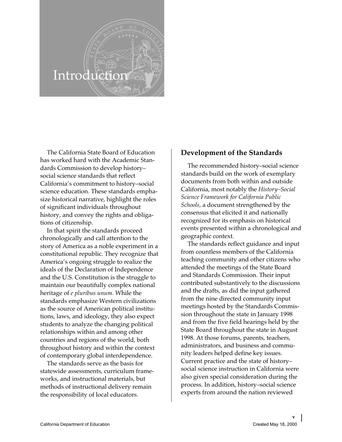# Introduction

The California State Board of Education has worked hard with the Academic Standards Commission to develop history– social science standards that reflect California's commitment to history–social science education. These standards emphasize historical narrative, highlight the roles of significant individuals throughout history, and convey the rights and obligations of citizenship.

In that spirit the standards proceed chronologically and call attention to the story of America as a noble experiment in a constitutional republic. They recognize that America's ongoing struggle to realize the ideals of the Declaration of Independence and the U.S. Constitution is the struggle to maintain our beautifully complex national heritage of *e pluribus unum.* While the standards emphasize Western civilizations as the source of American political institutions, laws, and ideology, they also expect students to analyze the changing political relationships within and among other countries and regions of the world, both throughout history and within the context of contemporary global interdependence.

The standards serve as the basis for statewide assessments, curriculum frameworks, and instructional materials, but methods of instructional delivery remain the responsibility of local educators.

#### **Development of the Standards**

The recommended history–social science standards build on the work of exemplary documents from both within and outside California, most notably the *History–Social Science Framework for California Public Schools,* a document strengthened by the consensus that elicited it and nationally recognized for its emphasis on historical events presented within a chronological and geographic context.

The standards reflect guidance and input from countless members of the California teaching community and other citizens who attended the meetings of the State Board and Standards Commission. Their input contributed substantively to the discussions and the drafts, as did the input gathered from the nine directed community input meetings hosted by the Standards Commission throughout the state in January 1998 and from the five field hearings held by the State Board throughout the state in August 1998. At those forums, parents, teachers, administrators, and business and community leaders helped define key issues. Current practice and the state of history– social science instruction in California were also given special consideration during the process. In addition, history–social science experts from around the nation reviewed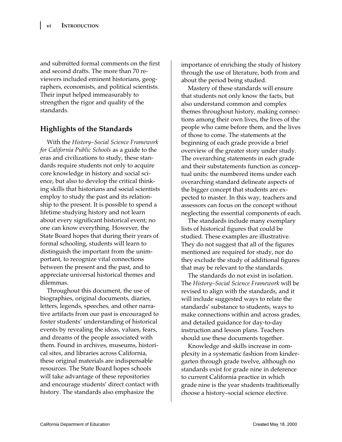and submitted formal comments on the first and second drafts. The more than 70 reviewers included eminent historians, geographers, economists, and political scientists. Their input helped immeasurably to strengthen the rigor and quality of the standards.

## **Highlights of the Standards**

With the *History–Social Science Framework for California Public Schools* as a guide to the eras and civilizations to study, these standards require students not only to acquire core knowledge in history and social science, but also to develop the critical thinking skills that historians and social scientists employ to study the past and its relationship to the present. It is possible to spend a lifetime studying history and not learn about every significant historical event; no one can know everything. However, the State Board hopes that during their years of formal schooling, students will learn to distinguish the important from the unimportant, to recognize vital connections between the present and the past, and to appreciate universal historical themes and dilemmas.

Throughout this document, the use of biographies, original documents, diaries, letters, legends, speeches, and other narrative artifacts from our past is encouraged to foster students' understanding of historical events by revealing the ideas, values, fears, and dreams of the people associated with them. Found in archives, museums, historical sites, and libraries across California, these original materials are indispensable resources. The State Board hopes schools will take advantage of these repositories and encourage students' direct contact with history. The standards also emphasize the

importance of enriching the study of history through the use of literature, both from and about the period being studied.

Mastery of these standards will ensure that students not only know the facts, but also understand common and complex themes throughout history, making connections among their own lives, the lives of the people who came before them, and the lives of those to come. The statements at the beginning of each grade provide a brief overview of the greater story under study. The overarching statements in each grade and their substatements function as conceptual units: the numbered items under each overarching standard delineate aspects of the bigger concept that students are expected to master. In this way, teachers and assessors can focus on the concept without neglecting the essential components of each.

The standards include many exemplary lists of historical figures that could be studied. These examples are illustrative. They do not suggest that all of the figures mentioned are required for study, nor do they exclude the study of additional figures that may be relevant to the standards.

The standards do not exist in isolation. The *History–Social Science Framework* will be revised to align with the standards, and it will include suggested ways to relate the standards' substance to students, ways to make connections within and across grades, and detailed guidance for day-to-day instruction and lesson plans. Teachers should use these documents together.

Knowledge and skills increase in complexity in a systematic fashion from kindergarten through grade twelve, although no standards exist for grade nine in deference to current California practice in which grade nine is the year students traditionally choose a history–social science elective.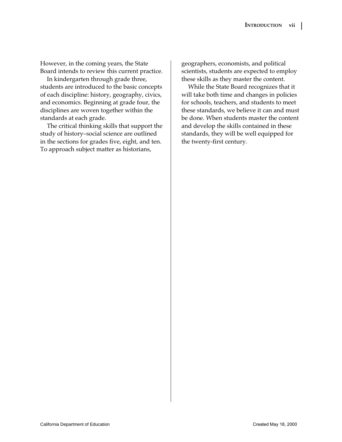However, in the coming years, the State Board intends to review this current practice.

In kindergarten through grade three, students are introduced to the basic concepts of each discipline: history, geography, civics, and economics. Beginning at grade four, the disciplines are woven together within the standards at each grade.

The critical thinking skills that support the study of history–social science are outlined in the sections for grades five, eight, and ten. To approach subject matter as historians,

geographers, economists, and political scientists, students are expected to employ these skills as they master the content.

While the State Board recognizes that it will take both time and changes in policies for schools, teachers, and students to meet these standards, we believe it can and must be done. When students master the content and develop the skills contained in these standards, they will be well equipped for the twenty-first century.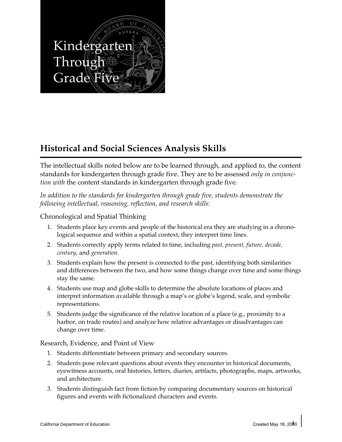

## **Historical and Social Sciences Analysis Skills**

The intellectual skills noted below are to be learned through, and applied to, the content standards for kindergarten through grade five. They are to be assessed *only in conjunction with* the content standards in kindergarten through grade five.

*In addition to the standards for kindergarten through grade five, students demonstrate the following intellectual, reasoning, reflection, and research skills:* 

## Chronological and Spatial Thinking

- 1. Students place key events and people of the historical era they are studying in a chronological sequence and within a spatial context; they interpret time lines.
- 2. Students correctly apply terms related to time, including *past*, *present*, *future*, *decade*, *century,* and *generation.*
- 3. Students explain how the present is connected to the past, identifying both similarities and differences between the two, and how some things change over time and some things stay the same.
- 4. Students use map and globe skills to determine the absolute locations of places and interpret information available through a map's or globe's legend, scale, and symbolic representations.
- 5. Students judge the significance of the relative location of a place (e.g., proximity to a harbor, on trade routes) and analyze how relative advantages or disadvantages can change over time.

Research, Evidence, and Point of View

- 1. Students differentiate between primary and secondary sources.
- 2. Students pose relevant questions about events they encounter in historical documents, eyewitness accounts, oral histories, letters, diaries, artifacts, photographs, maps, artworks, and architecture.
- 3. Students distinguish fact from fiction by comparing documentary sources on historical figures and events with fictionalized characters and events.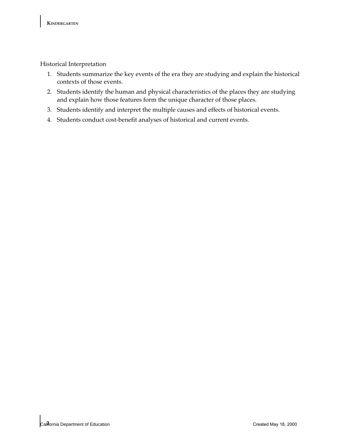Historical Interpretation

- 1. Students summarize the key events of the era they are studying and explain the historical contexts of those events.
- 2. Students identify the human and physical characteristics of the places they are studying and explain how those features form the unique character of those places.
- 3. Students identify and interpret the multiple causes and effects of historical events.
- 4. Students conduct cost-benefit analyses of historical and current events.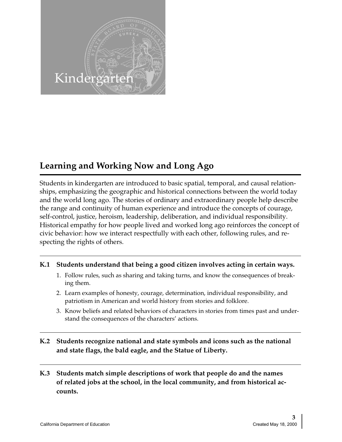

## **Learning and Working Now and Long Ago**

Students in kindergarten are introduced to basic spatial, temporal, and causal relationships, emphasizing the geographic and historical connections between the world today and the world long ago. The stories of ordinary and extraordinary people help describe the range and continuity of human experience and introduce the concepts of courage, self-control, justice, heroism, leadership, deliberation, and individual responsibility. Historical empathy for how people lived and worked long ago reinforces the concept of civic behavior: how we interact respectfully with each other, following rules, and respecting the rights of others.

### **K.1 Students understand that being a good citizen involves acting in certain ways.**

- 1. Follow rules, such as sharing and taking turns, and know the consequences of breaking them.
- 2. Learn examples of honesty, courage, determination, individual responsibility, and patriotism in American and world history from stories and folklore.
- 3. Know beliefs and related behaviors of characters in stories from times past and understand the consequences of the characters' actions.

**K.2 Students recognize national and state symbols and icons such as the national and state flags, the bald eagle, and the Statue of Liberty.** 

**K.3 Students match simple descriptions of work that people do and the names of related jobs at the school, in the local community, and from historical accounts.**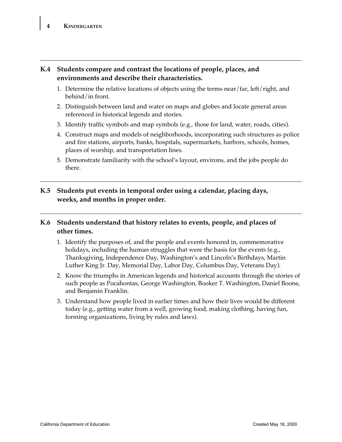## **K.4 Students compare and contrast the locations of people, places, and environments and describe their characteristics.**

- 1. Determine the relative locations of objects using the terms near/far, left/right, and behind/in front.
- 2. Distinguish between land and water on maps and globes and locate general areas referenced in historical legends and stories.
- 3. Identify traffic symbols and map symbols (e.g., those for land, water, roads, cities).
- 4. Construct maps and models of neighborhoods, incorporating such structures as police and fire stations, airports, banks, hospitals, supermarkets, harbors, schools, homes, places of worship, and transportation lines.
- 5. Demonstrate familiarity with the school's layout, environs, and the jobs people do there.

## **K.5 Students put events in temporal order using a calendar, placing days, weeks, and months in proper order.**

## **K.6 Students understand that history relates to events, people, and places of other times.**

- 1. Identify the purposes of, and the people and events honored in, commemorative holidays, including the human struggles that were the basis for the events (e.g., Thanksgiving, Independence Day, Washington's and Lincoln's Birthdays, Martin Luther King Jr. Day, Memorial Day, Labor Day, Columbus Day, Veterans Day).
- 2. Know the triumphs in American legends and historical accounts through the stories of such people as Pocahontas, George Washington, Booker T. Washington, Daniel Boone, and Benjamin Franklin.
- 3. Understand how people lived in earlier times and how their lives would be different today (e.g., getting water from a well, growing food, making clothing, having fun, forming organizations, living by rules and laws).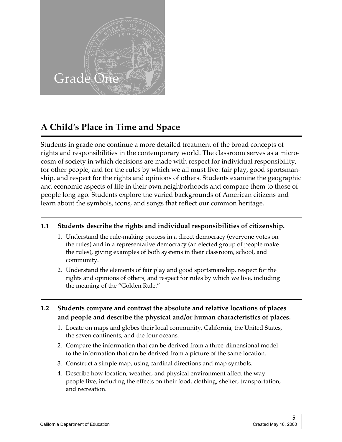

## **A Child's Place in Time and Space**

Students in grade one continue a more detailed treatment of the broad concepts of rights and responsibilities in the contemporary world. The classroom serves as a microcosm of society in which decisions are made with respect for individual responsibility, for other people, and for the rules by which we all must live: fair play, good sportsmanship, and respect for the rights and opinions of others. Students examine the geographic and economic aspects of life in their own neighborhoods and compare them to those of people long ago. Students explore the varied backgrounds of American citizens and learn about the symbols, icons, and songs that reflect our common heritage.

### **1.1 Students describe the rights and individual responsibilities of citizenship.**

- 1. Understand the rule-making process in a direct democracy (everyone votes on the rules) and in a representative democracy (an elected group of people make the rules), giving examples of both systems in their classroom, school, and community.
- 2. Understand the elements of fair play and good sportsmanship, respect for the rights and opinions of others, and respect for rules by which we live, including the meaning of the "Golden Rule."

**1.2 Students compare and contrast the absolute and relative locations of places and people and describe the physical and/or human characteristics of places.** 

- 1. Locate on maps and globes their local community, California, the United States, the seven continents, and the four oceans.
- 2. Compare the information that can be derived from a three-dimensional model to the information that can be derived from a picture of the same location.
- 3. Construct a simple map, using cardinal directions and map symbols.
- 4. Describe how location, weather, and physical environment affect the way people live, including the effects on their food, clothing, shelter, transportation, and recreation.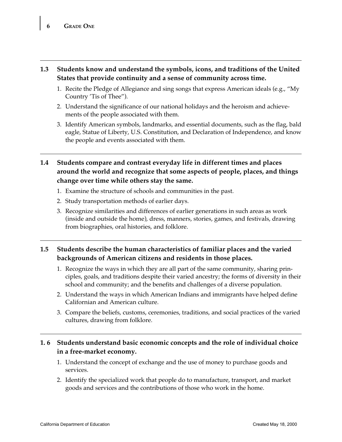### **1.3 Students know and understand the symbols, icons, and traditions of the United States that provide continuity and a sense of community across time.**

- 1. Recite the Pledge of Allegiance and sing songs that express American ideals (e.g., "My Country 'Tis of Thee").
- 2. Understand the significance of our national holidays and the heroism and achievements of the people associated with them.
- 3. Identify American symbols, landmarks, and essential documents, such as the flag, bald eagle, Statue of Liberty, U.S. Constitution, and Declaration of Independence, and know the people and events associated with them.

## **1.4 Students compare and contrast everyday life in different times and places around the world and recognize that some aspects of people, places, and things change over time while others stay the same.**

- 1. Examine the structure of schools and communities in the past.
- 2. Study transportation methods of earlier days.
- 3. Recognize similarities and differences of earlier generations in such areas as work (inside and outside the home), dress, manners, stories, games, and festivals, drawing from biographies, oral histories, and folklore.

## **1.5 Students describe the human characteristics of familiar places and the varied backgrounds of American citizens and residents in those places.**

- 1. Recognize the ways in which they are all part of the same community, sharing principles, goals, and traditions despite their varied ancestry; the forms of diversity in their school and community; and the benefits and challenges of a diverse population.
- 2. Understand the ways in which American Indians and immigrants have helped define Californian and American culture.
- 3. Compare the beliefs, customs, ceremonies, traditions, and social practices of the varied cultures, drawing from folklore.

## **1. 6 Students understand basic economic concepts and the role of individual choice in a free-market economy.**

- 1. Understand the concept of exchange and the use of money to purchase goods and services.
- 2. Identify the specialized work that people do to manufacture, transport, and market goods and services and the contributions of those who work in the home.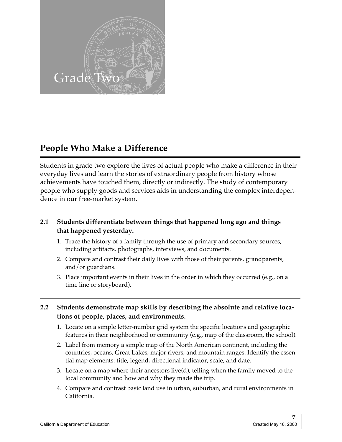

## **People Who Make a Difference**

Students in grade two explore the lives of actual people who make a difference in their everyday lives and learn the stories of extraordinary people from history whose achievements have touched them, directly or indirectly. The study of contemporary people who supply goods and services aids in understanding the complex interdependence in our free-market system.

## **2.1 Students differentiate between things that happened long ago and things that happened yesterday.**

- 1. Trace the history of a family through the use of primary and secondary sources, including artifacts, photographs, interviews, and documents.
- 2. Compare and contrast their daily lives with those of their parents, grandparents, and/or guardians.
- 3. Place important events in their lives in the order in which they occurred (e.g., on a time line or storyboard).

## **2.2 Students demonstrate map skills by describing the absolute and relative locations of people, places, and environments.**

- 1. Locate on a simple letter-number grid system the specific locations and geographic features in their neighborhood or community (e.g., map of the classroom, the school).
- 2. Label from memory a simple map of the North American continent, including the countries, oceans, Great Lakes, major rivers, and mountain ranges. Identify the essential map elements: title, legend, directional indicator, scale, and date.
- 3. Locate on a map where their ancestors live(d), telling when the family moved to the local community and how and why they made the trip.
- 4. Compare and contrast basic land use in urban, suburban, and rural environments in California.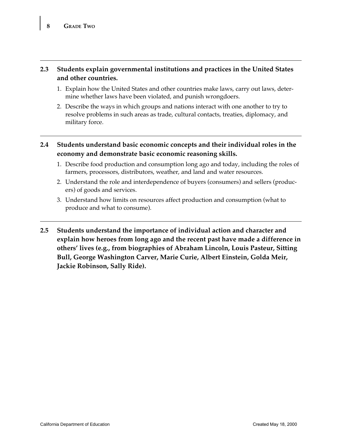## **2.3 Students explain governmental institutions and practices in the United States and other countries.**

- 1. Explain how the United States and other countries make laws, carry out laws, determine whether laws have been violated, and punish wrongdoers.
- 2. Describe the ways in which groups and nations interact with one another to try to resolve problems in such areas as trade, cultural contacts, treaties, diplomacy, and military force.

## **2.4 Students understand basic economic concepts and their individual roles in the economy and demonstrate basic economic reasoning skills.**

- 1. Describe food production and consumption long ago and today, including the roles of farmers, processors, distributors, weather, and land and water resources.
- 2. Understand the role and interdependence of buyers (consumers) and sellers (producers) of goods and services.
- 3. Understand how limits on resources affect production and consumption (what to produce and what to consume).
- **2.5 Students understand the importance of individual action and character and explain how heroes from long ago and the recent past have made a difference in others' lives (e.g., from biographies of Abraham Lincoln, Louis Pasteur, Sitting Bull, George Washington Carver, Marie Curie, Albert Einstein, Golda Meir, Jackie Robinson, Sally Ride).**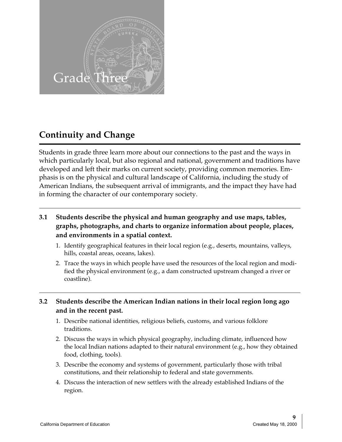

## **Continuity and Change**

Students in grade three learn more about our connections to the past and the ways in which particularly local, but also regional and national, government and traditions have developed and left their marks on current society, providing common memories. Emphasis is on the physical and cultural landscape of California, including the study of American Indians, the subsequent arrival of immigrants, and the impact they have had in forming the character of our contemporary society.

## **3.1 Students describe the physical and human geography and use maps, tables, graphs, photographs, and charts to organize information about people, places, and environments in a spatial context.**

- 1. Identify geographical features in their local region (e.g., deserts, mountains, valleys, hills, coastal areas, oceans, lakes).
- 2. Trace the ways in which people have used the resources of the local region and modified the physical environment (e.g., a dam constructed upstream changed a river or coastline).

## **3.2 Students describe the American Indian nations in their local region long ago and in the recent past.**

- 1. Describe national identities, religious beliefs, customs, and various folklore traditions.
- 2. Discuss the ways in which physical geography, including climate, influenced how the local Indian nations adapted to their natural environment (e.g., how they obtained food, clothing, tools).
- 3. Describe the economy and systems of government, particularly those with tribal constitutions, and their relationship to federal and state governments.
- 4. Discuss the interaction of new settlers with the already established Indians of the region.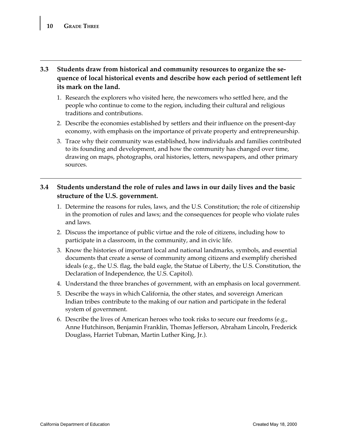## **3.3 Students draw from historical and community resources to organize the sequence of local historical events and describe how each period of settlement left its mark on the land.**

- 1. Research the explorers who visited here, the newcomers who settled here, and the people who continue to come to the region, including their cultural and religious traditions and contributions.
- 2. Describe the economies established by settlers and their influence on the present-day economy, with emphasis on the importance of private property and entrepreneurship.
- 3. Trace why their community was established, how individuals and families contributed to its founding and development, and how the community has changed over time, drawing on maps, photographs, oral histories, letters, newspapers, and other primary sources.

## **3.4 Students understand the role of rules and laws in our daily lives and the basic structure of the U.S. government.**

- 1. Determine the reasons for rules, laws, and the U.S. Constitution; the role of citizenship in the promotion of rules and laws; and the consequences for people who violate rules and laws.
- 2. Discuss the importance of public virtue and the role of citizens, including how to participate in a classroom, in the community, and in civic life.
- 3. Know the histories of important local and national landmarks, symbols, and essential documents that create a sense of community among citizens and exemplify cherished ideals (e.g., the U.S. flag, the bald eagle, the Statue of Liberty, the U.S. Constitution, the Declaration of Independence, the U.S. Capitol).
- 4. Understand the three branches of government, with an emphasis on local government.
- 5. Describe the ways in which California, the other states, and sovereign American Indian tribes contribute to the making of our nation and participate in the federal system of government.
- 6. Describe the lives of American heroes who took risks to secure our freedoms (e.g., Anne Hutchinson, Benjamin Franklin, Thomas Jefferson, Abraham Lincoln, Frederick Douglass, Harriet Tubman, Martin Luther King, Jr.).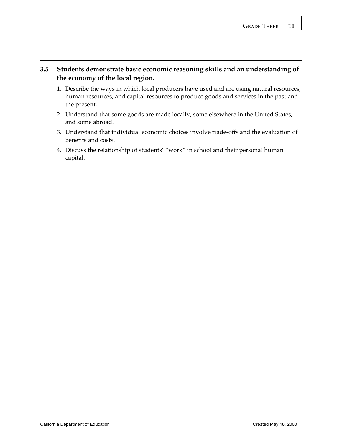### **3.5 Students demonstrate basic economic reasoning skills and an understanding of the economy of the local region.**

- 1. Describe the ways in which local producers have used and are using natural resources, human resources, and capital resources to produce goods and services in the past and the present.
- 2. Understand that some goods are made locally, some elsewhere in the United States, and some abroad.
- 3. Understand that individual economic choices involve trade-offs and the evaluation of benefits and costs.
- 4. Discuss the relationship of students' "work" in school and their personal human capital.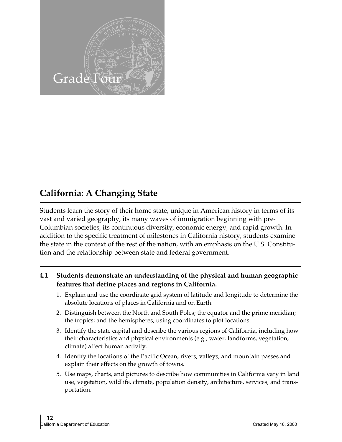

## **California: A Changing State**

Students learn the story of their home state, unique in American history in terms of its vast and varied geography, its many waves of immigration beginning with pre-Columbian societies, its continuous diversity, economic energy, and rapid growth. In addition to the specific treatment of milestones in California history, students examine the state in the context of the rest of the nation, with an emphasis on the U.S. Constitution and the relationship between state and federal government.

## **4.1 Students demonstrate an understanding of the physical and human geographic features that define places and regions in California.**

- 1. Explain and use the coordinate grid system of latitude and longitude to determine the absolute locations of places in California and on Earth.
- 2. Distinguish between the North and South Poles; the equator and the prime meridian; the tropics; and the hemispheres, using coordinates to plot locations.
- 3. Identify the state capital and describe the various regions of California, including how their characteristics and physical environments (e.g., water, landforms, vegetation, climate) affect human activity.
- 4. Identify the locations of the Pacific Ocean, rivers, valleys, and mountain passes and explain their effects on the growth of towns.
- 5. Use maps, charts, and pictures to describe how communities in California vary in land use, vegetation, wildlife, climate, population density, architecture, services, and transportation.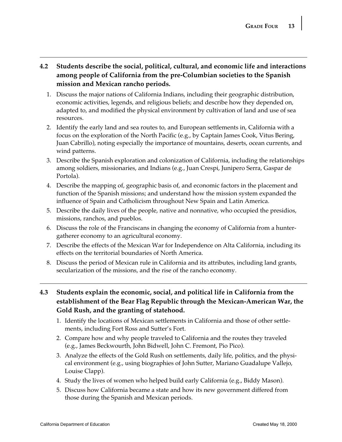- **4.2 Students describe the social, political, cultural, and economic life and interactions among people of California from the pre-Columbian societies to the Spanish mission and Mexican rancho periods.** 
	- 1. Discuss the major nations of California Indians, including their geographic distribution, economic activities, legends, and religious beliefs; and describe how they depended on, adapted to, and modified the physical environment by cultivation of land and use of sea resources.
	- 2. Identify the early land and sea routes to, and European settlements in, California with a focus on the exploration of the North Pacific (e.g., by Captain James Cook, Vitus Bering, Juan Cabrillo), noting especially the importance of mountains, deserts, ocean currents, and wind patterns.
	- 3. Describe the Spanish exploration and colonization of California, including the relationships among soldiers, missionaries, and Indians (e.g., Juan Crespi, Junipero Serra, Gaspar de Portola).
	- 4. Describe the mapping of, geographic basis of, and economic factors in the placement and function of the Spanish missions; and understand how the mission system expanded the influence of Spain and Catholicism throughout New Spain and Latin America.
	- 5. Describe the daily lives of the people, native and nonnative, who occupied the presidios, missions, ranchos, and pueblos.
	- 6. Discuss the role of the Franciscans in changing the economy of California from a huntergatherer economy to an agricultural economy.
	- 7. Describe the effects of the Mexican War for Independence on Alta California, including its effects on the territorial boundaries of North America.
	- 8. Discuss the period of Mexican rule in California and its attributes, including land grants, secularization of the missions, and the rise of the rancho economy.

## **4.3 Students explain the economic, social, and political life in California from the establishment of the Bear Flag Republic through the Mexican-American War, the Gold Rush, and the granting of statehood.**

- 1. Identify the locations of Mexican settlements in California and those of other settlements, including Fort Ross and Sutter's Fort.
- 2. Compare how and why people traveled to California and the routes they traveled (e.g., James Beckwourth, John Bidwell, John C. Fremont, Pio Pico).
- 3. Analyze the effects of the Gold Rush on settlements, daily life, politics, and the physical environment (e.g., using biographies of John Sutter, Mariano Guadalupe Vallejo, Louise Clapp).
- 4. Study the lives of women who helped build early California (e.g., Biddy Mason).
- 5. Discuss how California became a state and how its new government differed from those during the Spanish and Mexican periods.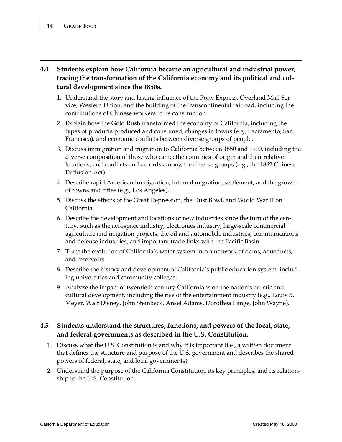## **4.4 Students explain how California became an agricultural and industrial power, tracing the transformation of the California economy and its political and cultural development since the 1850s.**

- 1. Understand the story and lasting influence of the Pony Express, Overland Mail Service, Western Union, and the building of the transcontinental railroad, including the contributions of Chinese workers to its construction.
- 2. Explain how the Gold Rush transformed the economy of California, including the types of products produced and consumed, changes in towns (e.g., Sacramento, San Francisco), and economic conflicts between diverse groups of people.
- 3. Discuss immigration and migration to California between 1850 and 1900, including the diverse composition of those who came; the countries of origin and their relative locations; and conflicts and accords among the diverse groups (e.g., the 1882 Chinese Exclusion Act).
- 4. Describe rapid American immigration, internal migration, settlement, and the growth of towns and cities (e.g., Los Angeles).
- 5. Discuss the effects of the Great Depression, the Dust Bowl, and World War II on California.
- 6. Describe the development and locations of new industries since the turn of the century, such as the aerospace industry, electronics industry, large-scale commercial agriculture and irrigation projects, the oil and automobile industries, communications and defense industries, and important trade links with the Pacific Basin.
- 7. Trace the evolution of California's water system into a network of dams, aqueducts, and reservoirs.
- 8. Describe the history and development of California's public education system, including universities and community colleges.
- 9. Analyze the impact of twentieth-century Californians on the nation's artistic and cultural development, including the rise of the entertainment industry (e.g., Louis B. Meyer, Walt Disney, John Steinbeck, Ansel Adams, Dorothea Lange, John Wayne).

## **4.5 Students understand the structures, functions, and powers of the local, state, and federal governments as described in the U.S. Constitution.**

- 1. Discuss what the U.S. Constitution is and why it is important (i.e., a written document that defines the structure and purpose of the U.S. government and describes the shared powers of federal, state, and local governments).
- 2. Understand the purpose of the California Constitution, its key principles, and its relationship to the U.S. Constitution.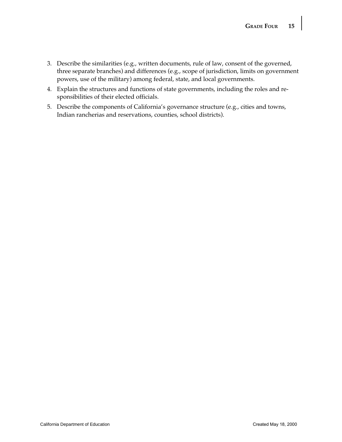- 3. Describe the similarities (e.g., written documents, rule of law, consent of the governed, three separate branches) and differences (e.g., scope of jurisdiction, limits on government powers, use of the military) among federal, state, and local governments.
- 4. Explain the structures and functions of state governments, including the roles and responsibilities of their elected officials.
- 5. Describe the components of California's governance structure (e.g., cities and towns, Indian rancherias and reservations, counties, school districts).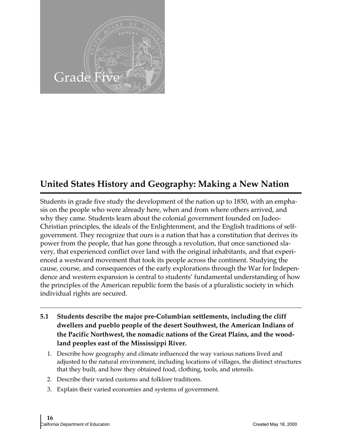

## **United States History and Geography: Making a New Nation**

Students in grade five study the development of the nation up to 1850, with an emphasis on the people who were already here, when and from where others arrived, and why they came. Students learn about the colonial government founded on Judeo-Christian principles, the ideals of the Enlightenment, and the English traditions of selfgovernment. They recognize that ours is a nation that has a constitution that derives its power from the people, that has gone through a revolution, that once sanctioned slavery, that experienced conflict over land with the original inhabitants, and that experienced a westward movement that took its people across the continent. Studying the cause, course, and consequences of the early explorations through the War for Independence and western expansion is central to students' fundamental understanding of how the principles of the American republic form the basis of a pluralistic society in which individual rights are secured.

- **5.1 Students describe the major pre-Columbian settlements, including the cliff dwellers and pueblo people of the desert Southwest, the American Indians of the Pacific Northwest, the nomadic nations of the Great Plains, and the woodland peoples east of the Mississippi River.** 
	- 1. Describe how geography and climate influenced the way various nations lived and adjusted to the natural environment, including locations of villages, the distinct structures that they built, and how they obtained food, clothing, tools, and utensils.
	- 2. Describe their varied customs and folklore traditions.
	- 3. Explain their varied economies and systems of government.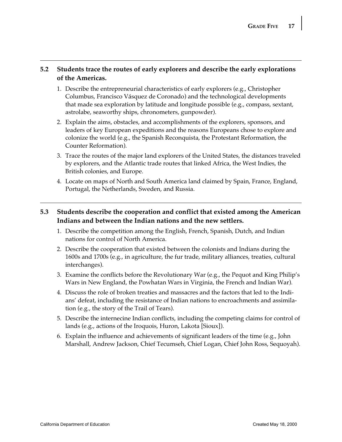## **5.2** Students trace the routes of early explorers and describe the early explorations **of the Americas.**

- 1. Describe the entrepreneurial characteristics of early explorers (e.g., Christopher Columbus, Francisco Vásquez de Coronado) and the technological developments that made sea exploration by latitude and longitude possible (e.g., compass, sextant, astrolabe, seaworthy ships, chronometers, gunpowder).
- 2. Explain the aims, obstacles, and accomplishments of the explorers, sponsors, and leaders of key European expeditions and the reasons Europeans chose to explore and colonize the world (e.g., the Spanish Reconquista, the Protestant Reformation, the Counter Reformation).
- 3. Trace the routes of the major land explorers of the United States, the distances traveled by explorers, and the Atlantic trade routes that linked Africa, the West Indies, the British colonies, and Europe.
- 4. Locate on maps of North and South America land claimed by Spain, France, England, Portugal, the Netherlands, Sweden, and Russia.

## **5.3 Students describe the cooperation and conflict that existed among the American Indians and between the Indian nations and the new settlers.**

- 1. Describe the competition among the English, French, Spanish, Dutch, and Indian nations for control of North America.
- 2. Describe the cooperation that existed between the colonists and Indians during the 1600s and 1700s (e.g., in agriculture, the fur trade, military alliances, treaties, cultural interchanges).
- 3. Examine the conflicts before the Revolutionary War (e.g., the Pequot and King Philip's Wars in New England, the Powhatan Wars in Virginia, the French and Indian War).
- 4. Discuss the role of broken treaties and massacres and the factors that led to the Indians' defeat, including the resistance of Indian nations to encroachments and assimilation (e.g., the story of the Trail of Tears).
- 5. Describe the internecine Indian conflicts, including the competing claims for control of lands (e.g., actions of the Iroquois, Huron, Lakota [Sioux]).
- 6. Explain the influence and achievements of significant leaders of the time (e.g., John Marshall, Andrew Jackson, Chief Tecumseh, Chief Logan, Chief John Ross, Sequoyah).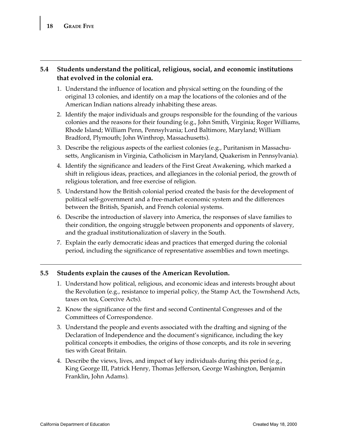## **5.4 Students understand the political, religious, social, and economic institutions that evolved in the colonial era.**

- 1. Understand the influence of location and physical setting on the founding of the original 13 colonies, and identify on a map the locations of the colonies and of the American Indian nations already inhabiting these areas.
- 2. Identify the major individuals and groups responsible for the founding of the various colonies and the reasons for their founding (e.g., John Smith, Virginia; Roger Williams, Rhode Island; William Penn, Pennsylvania; Lord Baltimore, Maryland; William Bradford, Plymouth; John Winthrop, Massachusetts).
- 3. Describe the religious aspects of the earliest colonies (e.g., Puritanism in Massachusetts, Anglicanism in Virginia, Catholicism in Maryland, Quakerism in Pennsylvania).
- 4. Identify the significance and leaders of the First Great Awakening, which marked a shift in religious ideas, practices, and allegiances in the colonial period, the growth of religious toleration, and free exercise of religion.
- 5. Understand how the British colonial period created the basis for the development of political self-government and a free-market economic system and the differences between the British, Spanish, and French colonial systems.
- 6. Describe the introduction of slavery into America, the responses of slave families to their condition, the ongoing struggle between proponents and opponents of slavery, and the gradual institutionalization of slavery in the South.
- 7. Explain the early democratic ideas and practices that emerged during the colonial period, including the significance of representative assemblies and town meetings.

### **5.5 Students explain the causes of the American Revolution.**

- 1. Understand how political, religious, and economic ideas and interests brought about the Revolution (e.g., resistance to imperial policy, the Stamp Act, the Townshend Acts, taxes on tea, Coercive Acts).
- 2. Know the significance of the first and second Continental Congresses and of the Committees of Correspondence.
- 3. Understand the people and events associated with the drafting and signing of the Declaration of Independence and the document's significance, including the key political concepts it embodies, the origins of those concepts, and its role in severing ties with Great Britain.
- 4. Describe the views, lives, and impact of key individuals during this period (e.g., King George III, Patrick Henry, Thomas Jefferson, George Washington, Benjamin Franklin, John Adams).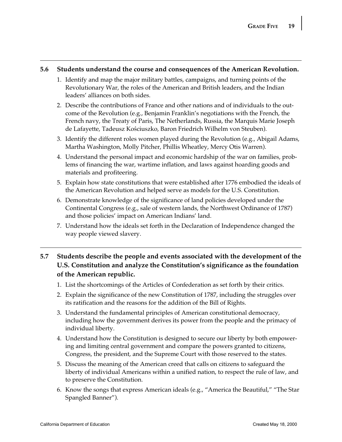#### **5.6 Students understand the course and consequences of the American Revolution.**

- 1. Identify and map the major military battles, campaigns, and turning points of the Revolutionary War, the roles of the American and British leaders, and the Indian leaders' alliances on both sides.
- 2. Describe the contributions of France and other nations and of individuals to the outcome of the Revolution (e.g., Benjamin Franklin's negotiations with the French, the French navy, the Treaty of Paris, The Netherlands, Russia, the Marquis Marie Joseph de Lafayette, Tadeusz Kościuszko, Baron Friedrich Wilhelm von Steuben).
- 3. Identify the different roles women played during the Revolution (e.g., Abigail Adams, Martha Washington, Molly Pitcher, Phillis Wheatley, Mercy Otis Warren).
- 4. Understand the personal impact and economic hardship of the war on families, problems of financing the war, wartime inflation, and laws against hoarding goods and materials and profiteering.
- 5. Explain how state constitutions that were established after 1776 embodied the ideals of the American Revolution and helped serve as models for the U.S. Constitution.
- 6. Demonstrate knowledge of the significance of land policies developed under the Continental Congress (e.g., sale of western lands, the Northwest Ordinance of 1787) and those policies' impact on American Indians' land.
- 7. Understand how the ideals set forth in the Declaration of Independence changed the way people viewed slavery.

## **5.7 Students describe the people and events associated with the development of the U.S. Constitution and analyze the Constitution's significance as the foundation of the American republic.**

- 1. List the shortcomings of the Articles of Confederation as set forth by their critics.
- 2. Explain the significance of the new Constitution of 1787, including the struggles over its ratification and the reasons for the addition of the Bill of Rights.
- 3. Understand the fundamental principles of American constitutional democracy, including how the government derives its power from the people and the primacy of individual liberty.
- 4. Understand how the Constitution is designed to secure our liberty by both empowering and limiting central government and compare the powers granted to citizens, Congress, the president, and the Supreme Court with those reserved to the states.
- 5. Discuss the meaning of the American creed that calls on citizens to safeguard the liberty of individual Americans within a unified nation, to respect the rule of law, and to preserve the Constitution.
- 6. Know the songs that express American ideals (e.g., "America the Beautiful," "The Star Spangled Banner").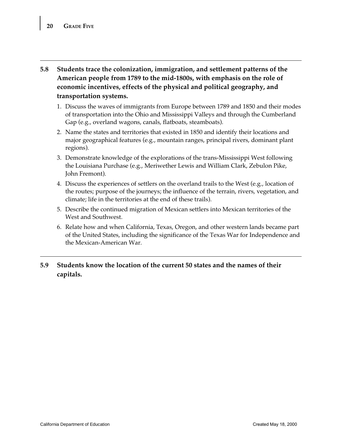- **5.8 Students trace the colonization, immigration, and settlement patterns of the American people from 1789 to the mid-1800s, with emphasis on the role of economic incentives, effects of the physical and political geography, and transportation systems.** 
	- 1. Discuss the waves of immigrants from Europe between 1789 and 1850 and their modes of transportation into the Ohio and Mississippi Valleys and through the Cumberland Gap (e.g., overland wagons, canals, flatboats, steamboats).
	- 2. Name the states and territories that existed in 1850 and identify their locations and major geographical features (e.g., mountain ranges, principal rivers, dominant plant regions).
	- 3. Demonstrate knowledge of the explorations of the trans-Mississippi West following the Louisiana Purchase (e.g., Meriwether Lewis and William Clark, Zebulon Pike, John Fremont).
	- 4. Discuss the experiences of settlers on the overland trails to the West (e.g., location of the routes; purpose of the journeys; the influence of the terrain, rivers, vegetation, and climate; life in the territories at the end of these trails).
	- 5. Describe the continued migration of Mexican settlers into Mexican territories of the West and Southwest.
	- 6. Relate how and when California, Texas, Oregon, and other western lands became part of the United States, including the significance of the Texas War for Independence and the Mexican-American War.

## **5.9 Students know the location of the current 50 states and the names of their capitals.**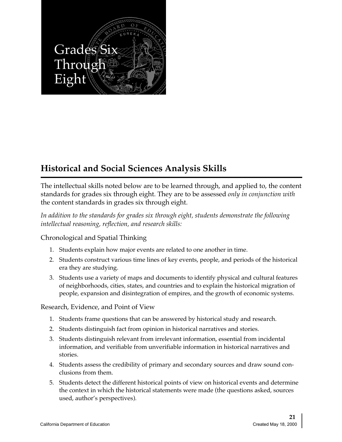

## **Historical and Social Sciences Analysis Skills**

The intellectual skills noted below are to be learned through, and applied to, the content standards for grades six through eight. They are to be assessed *only in conjunction with*  the content standards in grades six through eight.

*In addition to the standards for grades six through eight, students demonstrate the following intellectual reasoning, reflection, and research skills:* 

Chronological and Spatial Thinking

- 1. Students explain how major events are related to one another in time.
- 2. Students construct various time lines of key events, people, and periods of the historical era they are studying.
- 3. Students use a variety of maps and documents to identify physical and cultural features of neighborhoods, cities, states, and countries and to explain the historical migration of people, expansion and disintegration of empires, and the growth of economic systems.

Research, Evidence, and Point of View

- 1. Students frame questions that can be answered by historical study and research.
- 2. Students distinguish fact from opinion in historical narratives and stories.
- 3. Students distinguish relevant from irrelevant information, essential from incidental information, and verifiable from unverifiable information in historical narratives and stories.
- 4. Students assess the credibility of primary and secondary sources and draw sound conclusions from them.
- 5. Students detect the different historical points of view on historical events and determine the context in which the historical statements were made (the questions asked, sources used, author's perspectives).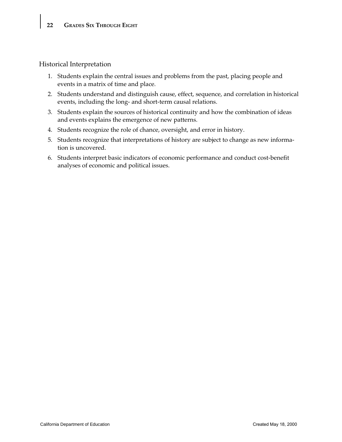Historical Interpretation

- 1. Students explain the central issues and problems from the past, placing people and events in a matrix of time and place.
- 2. Students understand and distinguish cause, effect, sequence, and correlation in historical events, including the long- and short-term causal relations.
- 3. Students explain the sources of historical continuity and how the combination of ideas and events explains the emergence of new patterns.
- 4. Students recognize the role of chance, oversight, and error in history.
- 5. Students recognize that interpretations of history are subject to change as new information is uncovered.
- 6. Students interpret basic indicators of economic performance and conduct cost-benefit analyses of economic and political issues.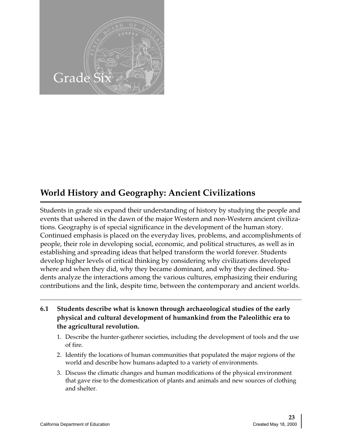

## **World History and Geography: Ancient Civilizations**

Students in grade six expand their understanding of history by studying the people and events that ushered in the dawn of the major Western and non-Western ancient civilizations. Geography is of special significance in the development of the human story. Continued emphasis is placed on the everyday lives, problems, and accomplishments of people, their role in developing social, economic, and political structures, as well as in establishing and spreading ideas that helped transform the world forever. Students develop higher levels of critical thinking by considering why civilizations developed where and when they did, why they became dominant, and why they declined. Students analyze the interactions among the various cultures, emphasizing their enduring contributions and the link, despite time, between the contemporary and ancient worlds.

- **6.1 Students describe what is known through archaeological studies of the early physical and cultural development of humankind from the Paleolithic era to the agricultural revolution.** 
	- 1. Describe the hunter-gatherer societies, including the development of tools and the use of fire.
	- 2. Identify the locations of human communities that populated the major regions of the world and describe how humans adapted to a variety of environments.
	- 3. Discuss the climatic changes and human modifications of the physical environment that gave rise to the domestication of plants and animals and new sources of clothing and shelter*.*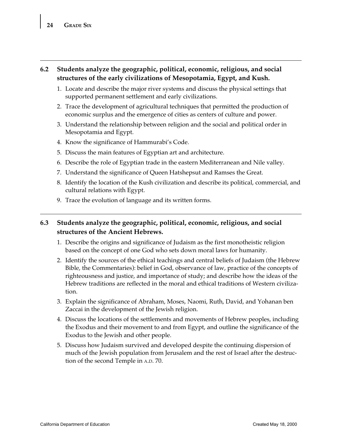## **6.2 Students analyze the geographic, political, economic, religious, and social structures of the early civilizations of Mesopotamia, Egypt, and Kush.**

- 1. Locate and describe the major river systems and discuss the physical settings that supported permanent settlement and early civilizations.
- 2. Trace the development of agricultural techniques that permitted the production of economic surplus and the emergence of cities as centers of culture and power.
- 3. Understand the relationship between religion and the social and political order in Mesopotamia and Egypt.
- 4. Know the significance of Hammurabi's Code.
- 5. Discuss the main features of Egyptian art and architecture.
- 6. Describe the role of Egyptian trade in the eastern Mediterranean and Nile valley.
- 7. Understand the significance of Queen Hatshepsut and Ramses the Great.
- 8. Identify the location of the Kush civilization and describe its political, commercial, and cultural relations with Egypt.
- 9. Trace the evolution of language and its written forms.

## **6.3 Students analyze the geographic, political, economic, religious, and social structures of the Ancient Hebrews.**

- 1. Describe the origins and significance of Judaism as the first monotheistic religion based on the concept of one God who sets down moral laws for humanity.
- 2. Identify the sources of the ethical teachings and central beliefs of Judaism (the Hebrew Bible, the Commentaries): belief in God, observance of law, practice of the concepts of righteousness and justice, and importance of study; and describe how the ideas of the Hebrew traditions are reflected in the moral and ethical traditions of Western civilization.
- 3. Explain the significance of Abraham, Moses, Naomi, Ruth, David, and Yohanan ben Zaccai in the development of the Jewish religion.
- 4. Discuss the locations of the settlements and movements of Hebrew peoples, including the Exodus and their movement to and from Egypt, and outline the significance of the Exodus to the Jewish and other people.
- 5. Discuss how Judaism survived and developed despite the continuing dispersion of much of the Jewish population from Jerusalem and the rest of Israel after the destruction of the second Temple in A.D. 70.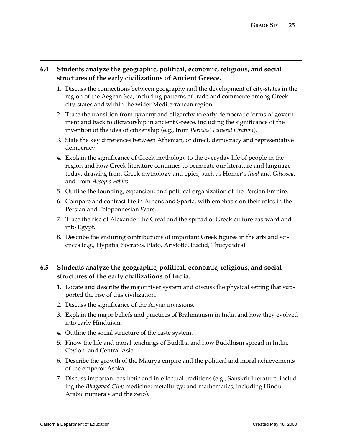### **6.4 Students analyze the geographic, political, economic, religious, and social structures of the early civilizations of Ancient Greece.**

- 1. Discuss the connections between geography and the development of city-states in the region of the Aegean Sea, including patterns of trade and commerce among Greek city-states and within the wider Mediterranean region.
- 2. Trace the transition from tyranny and oligarchy to early democratic forms of government and back to dictatorship in ancient Greece, including the significance of the invention of the idea of citizenship (e.g., from *Pericles' Funeral Oration*).
- 3. State the key differences between Athenian, or direct, democracy and representative democracy.
- 4. Explain the significance of Greek mythology to the everyday life of people in the region and how Greek literature continues to permeate our literature and language today, drawing from Greek mythology and epics, such as Homer's *Iliad* and *Odyssey,* and from *Aesop's Fables.*
- 5. Outline the founding, expansion, and political organization of the Persian Empire.
- 6. Compare and contrast life in Athens and Sparta, with emphasis on their roles in the Persian and Peloponnesian Wars.
- 7. Trace the rise of Alexander the Great and the spread of Greek culture eastward and into Egypt.
- 8. Describe the enduring contributions of important Greek figures in the arts and sciences (e.g., Hypatia, Socrates, Plato, Aristotle, Euclid, Thucydides).

## **6.5 Students analyze the geographic, political, economic, religious, and social structures of the early civilizations of India.**

- 1. Locate and describe the major river system and discuss the physical setting that supported the rise of this civilization.
- 2. Discuss the significance of the Aryan invasions.
- 3. Explain the major beliefs and practices of Brahmanism in India and how they evolved into early Hinduism.
- 4. Outline the social structure of the caste system.
- 5. Know the life and moral teachings of Buddha and how Buddhism spread in India, Ceylon, and Central Asia.
- 6. Describe the growth of the Maurya empire and the political and moral achievements of the emperor Asoka.
- 7. Discuss important aesthetic and intellectual traditions (e.g., Sanskrit literature, including the *Bhagavad Gita;* medicine; metallurgy; and mathematics, including Hindu-Arabic numerals and the zero).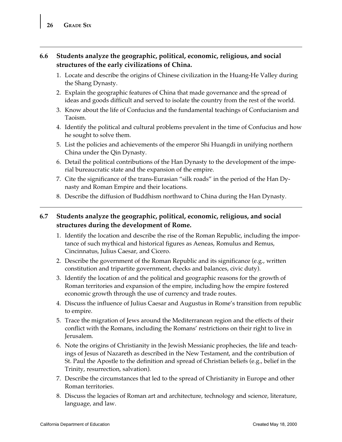## **6.6 Students analyze the geographic, political, economic, religious, and social structures of the early civilizations of China.**

- 1. Locate and describe the origins of Chinese civilization in the Huang-He Valley during the Shang Dynasty.
- 2. Explain the geographic features of China that made governance and the spread of ideas and goods difficult and served to isolate the country from the rest of the world.
- 3. Know about the life of Confucius and the fundamental teachings of Confucianism and Taoism.
- 4. Identify the political and cultural problems prevalent in the time of Confucius and how he sought to solve them.
- 5. List the policies and achievements of the emperor Shi Huangdi in unifying northern China under the Qin Dynasty.
- 6. Detail the political contributions of the Han Dynasty to the development of the imperial bureaucratic state and the expansion of the empire.
- 7. Cite the significance of the trans-Eurasian "silk roads" in the period of the Han Dynasty and Roman Empire and their locations.
- 8. Describe the diffusion of Buddhism northward to China during the Han Dynasty.

## **6.7 Students analyze the geographic, political, economic, religious, and social structures during the development of Rome.**

- 1. Identify the location and describe the rise of the Roman Republic, including the importance of such mythical and historical figures as Aeneas, Romulus and Remus, Cincinnatus, Julius Caesar, and Cicero.
- 2. Describe the government of the Roman Republic and its significance (e.g., written constitution and tripartite government, checks and balances, civic duty).
- 3. Identify the location of and the political and geographic reasons for the growth of Roman territories and expansion of the empire, including how the empire fostered economic growth through the use of currency and trade routes.
- 4. Discuss the influence of Julius Caesar and Augustus in Rome's transition from republic to empire.
- 5. Trace the migration of Jews around the Mediterranean region and the effects of their conflict with the Romans, including the Romans' restrictions on their right to live in Jerusalem.
- 6. Note the origins of Christianity in the Jewish Messianic prophecies, the life and teachings of Jesus of Nazareth as described in the New Testament, and the contribution of St. Paul the Apostle to the definition and spread of Christian beliefs (e.g., belief in the Trinity, resurrection, salvation).
- 7. Describe the circumstances that led to the spread of Christianity in Europe and other Roman territories.
- 8. Discuss the legacies of Roman art and architecture, technology and science, literature, language, and law.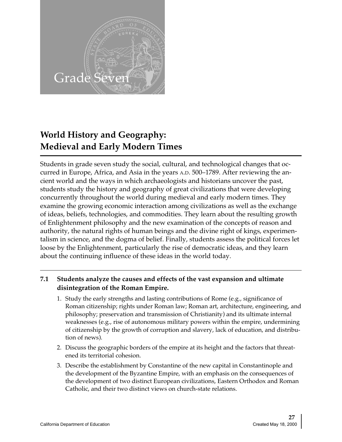

## **World History and Geography: Medieval and Early Modern Times**

Students in grade seven study the social, cultural, and technological changes that occurred in Europe, Africa, and Asia in the years A.D. 500–1789. After reviewing the ancient world and the ways in which archaeologists and historians uncover the past, students study the history and geography of great civilizations that were developing concurrently throughout the world during medieval and early modern times. They examine the growing economic interaction among civilizations as well as the exchange of ideas, beliefs, technologies, and commodities. They learn about the resulting growth of Enlightenment philosophy and the new examination of the concepts of reason and authority, the natural rights of human beings and the divine right of kings, experimentalism in science, and the dogma of belief. Finally, students assess the political forces let loose by the Enlightenment, particularly the rise of democratic ideas, and they learn about the continuing influence of these ideas in the world today.

## **7.1 Students analyze the causes and effects of the vast expansion and ultimate disintegration of the Roman Empire.**

- 1. Study the early strengths and lasting contributions of Rome (e.g., significance of Roman citizenship; rights under Roman law; Roman art, architecture, engineering, and philosophy; preservation and transmission of Christianity) and its ultimate internal weaknesses (e.g., rise of autonomous military powers within the empire, undermining of citizenship by the growth of corruption and slavery, lack of education, and distribution of news).
- 2. Discuss the geographic borders of the empire at its height and the factors that threatened its territorial cohesion.
- 3. Describe the establishment by Constantine of the new capital in Constantinople and the development of the Byzantine Empire, with an emphasis on the consequences of the development of two distinct European civilizations, Eastern Orthodox and Roman Catholic, and their two distinct views on church-state relations.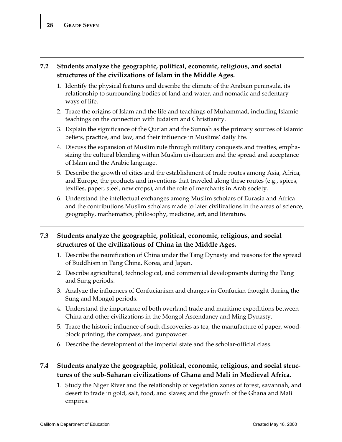## **7.2 Students analyze the geographic, political, economic, religious, and social structures of the civilizations of Islam in the Middle Ages.**

- 1. Identify the physical features and describe the climate of the Arabian peninsula, its relationship to surrounding bodies of land and water, and nomadic and sedentary ways of life.
- 2. Trace the origins of Islam and the life and teachings of Muhammad, including Islamic teachings on the connection with Judaism and Christianity.
- 3. Explain the significance of the Qur'an and the Sunnah as the primary sources of Islamic beliefs, practice, and law, and their influence in Muslims' daily life.
- 4. Discuss the expansion of Muslim rule through military conquests and treaties, emphasizing the cultural blending within Muslim civilization and the spread and acceptance of Islam and the Arabic language.
- 5. Describe the growth of cities and the establishment of trade routes among Asia, Africa, and Europe, the products and inventions that traveled along these routes (e.g., spices, textiles, paper, steel, new crops), and the role of merchants in Arab society.
- 6. Understand the intellectual exchanges among Muslim scholars of Eurasia and Africa and the contributions Muslim scholars made to later civilizations in the areas of science, geography, mathematics, philosophy, medicine, art, and literature.

## **7.3 Students analyze the geographic, political, economic, religious, and social structures of the civilizations of China in the Middle Ages.**

- 1. Describe the reunification of China under the Tang Dynasty and reasons for the spread of Buddhism in Tang China, Korea, and Japan.
- 2. Describe agricultural, technological, and commercial developments during the Tang and Sung periods.
- 3. Analyze the influences of Confucianism and changes in Confucian thought during the Sung and Mongol periods.
- 4. Understand the importance of both overland trade and maritime expeditions between China and other civilizations in the Mongol Ascendancy and Ming Dynasty.
- 5. Trace the historic influence of such discoveries as tea, the manufacture of paper, woodblock printing, the compass, and gunpowder.
- 6. Describe the development of the imperial state and the scholar-official class.

## **7.4 Students analyze the geographic, political, economic, religious, and social structures of the sub-Saharan civilizations of Ghana and Mali in Medieval Africa.**

1. Study the Niger River and the relationship of vegetation zones of forest, savannah, and desert to trade in gold, salt, food, and slaves; and the growth of the Ghana and Mali empires.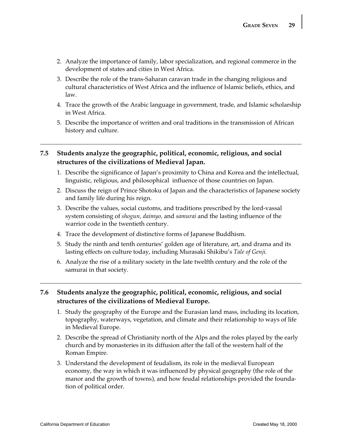- 2. Analyze the importance of family, labor specialization, and regional commerce in the development of states and cities in West Africa.
- 3. Describe the role of the trans-Saharan caravan trade in the changing religious and cultural characteristics of West Africa and the influence of Islamic beliefs, ethics, and law.
- 4. Trace the growth of the Arabic language in government, trade, and Islamic scholarship in West Africa.
- 5. Describe the importance of written and oral traditions in the transmission of African history and culture.

### **7.5 Students analyze the geographic, political, economic, religious, and social structures of the civilizations of Medieval Japan.**

- 1. Describe the significance of Japan's proximity to China and Korea and the intellectual, linguistic, religious, and philosophical influence of those countries on Japan.
- 2. Discuss the reign of Prince Shotoku of Japan and the characteristics of Japanese society and family life during his reign.
- 3. Describe the values, social customs, and traditions prescribed by the lord-vassal system consisting of *shogun, daimyo,* and *samurai* and the lasting influence of the warrior code in the twentieth century.
- 4. Trace the development of distinctive forms of Japanese Buddhism.
- 5. Study the ninth and tenth centuries' golden age of literature, art, and drama and its lasting effects on culture today, including Murasaki Shikibu's *Tale of Genji.*
- 6. Analyze the rise of a military society in the late twelfth century and the role of the samurai in that society.

## **7.6 Students analyze the geographic, political, economic, religious, and social structures of the civilizations of Medieval Europe.**

- 1. Study the geography of the Europe and the Eurasian land mass, including its location, topography, waterways, vegetation, and climate and their relationship to ways of life in Medieval Europe.
- 2. Describe the spread of Christianity north of the Alps and the roles played by the early church and by monasteries in its diffusion after the fall of the western half of the Roman Empire.
- 3. Understand the development of feudalism, its role in the medieval European economy, the way in which it was influenced by physical geography (the role of the manor and the growth of towns), and how feudal relationships provided the foundation of political order.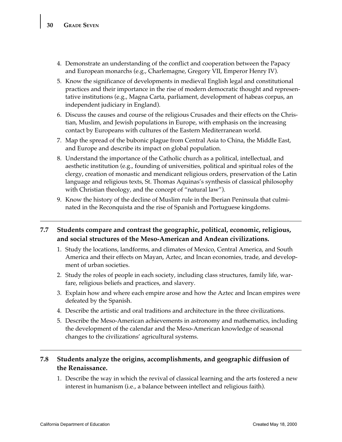- 4. Demonstrate an understanding of the conflict and cooperation between the Papacy and European monarchs (e.g., Charlemagne, Gregory VII, Emperor Henry IV).
- 5. Know the significance of developments in medieval English legal and constitutional practices and their importance in the rise of modern democratic thought and representative institutions (e.g., Magna Carta, parliament, development of habeas corpus, an independent judiciary in England).
- 6. Discuss the causes and course of the religious Crusades and their effects on the Christian, Muslim, and Jewish populations in Europe, with emphasis on the increasing contact by Europeans with cultures of the Eastern Mediterranean world.
- 7. Map the spread of the bubonic plague from Central Asia to China, the Middle East, and Europe and describe its impact on global population.
- 8. Understand the importance of the Catholic church as a political, intellectual, and aesthetic institution (e.g., founding of universities, political and spiritual roles of the clergy, creation of monastic and mendicant religious orders, preservation of the Latin language and religious texts, St. Thomas Aquinas's synthesis of classical philosophy with Christian theology, and the concept of "natural law").
- 9. Know the history of the decline of Muslim rule in the Iberian Peninsula that culminated in the Reconquista and the rise of Spanish and Portuguese kingdoms.

## **7.7 Students compare and contrast the geographic, political, economic, religious, and social structures of the Meso-American and Andean civilizations.**

- 1. Study the locations, landforms, and climates of Mexico, Central America, and South America and their effects on Mayan, Aztec, and Incan economies, trade, and development of urban societies.
- 2. Study the roles of people in each society, including class structures, family life, warfare, religious beliefs and practices, and slavery.
- 3. Explain how and where each empire arose and how the Aztec and Incan empires were defeated by the Spanish.
- 4. Describe the artistic and oral traditions and architecture in the three civilizations.
- 5. Describe the Meso-American achievements in astronomy and mathematics, including the development of the calendar and the Meso-American knowledge of seasonal changes to the civilizations' agricultural systems.

## **7.8 Students analyze the origins, accomplishments, and geographic diffusion of the Renaissance.**

1. Describe the way in which the revival of classical learning and the arts fostered a new interest in humanism (i.e., a balance between intellect and religious faith).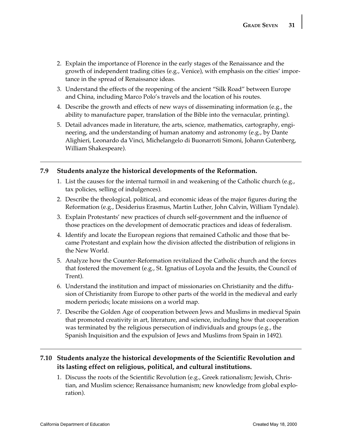- 2. Explain the importance of Florence in the early stages of the Renaissance and the growth of independent trading cities (e.g., Venice), with emphasis on the cities' importance in the spread of Renaissance ideas.
- 3. Understand the effects of the reopening of the ancient "Silk Road" between Europe and China, including Marco Polo's travels and the location of his routes.
- 4. Describe the growth and effects of new ways of disseminating information (e.g., the ability to manufacture paper, translation of the Bible into the vernacular, printing).
- 5. Detail advances made in literature, the arts, science, mathematics, cartography, engineering, and the understanding of human anatomy and astronomy (e.g., by Dante Alighieri, Leonardo da Vinci, Michelangelo di Buonarroti Simoni, Johann Gutenberg, William Shakespeare).

#### **7.9 Students analyze the historical developments of the Reformation.**

- 1. List the causes for the internal turmoil in and weakening of the Catholic church (e.g., tax policies, selling of indulgences).
- 2. Describe the theological, political, and economic ideas of the major figures during the Reformation (e.g., Desiderius Erasmus, Martin Luther, John Calvin, William Tyndale).
- 3. Explain Protestants' new practices of church self-government and the influence of those practices on the development of democratic practices and ideas of federalism.
- 4. Identify and locate the European regions that remained Catholic and those that became Protestant and explain how the division affected the distribution of religions in the New World.
- 5. Analyze how the Counter-Reformation revitalized the Catholic church and the forces that fostered the movement (e.g., St. Ignatius of Loyola and the Jesuits, the Council of Trent).
- 6. Understand the institution and impact of missionaries on Christianity and the diffusion of Christianity from Europe to other parts of the world in the medieval and early modern periods; locate missions on a world map.
- 7. Describe the Golden Age of cooperation between Jews and Muslims in medieval Spain that promoted creativity in art, literature, and science, including how that cooperation was terminated by the religious persecution of individuals and groups (e.g., the Spanish Inquisition and the expulsion of Jews and Muslims from Spain in 1492).

## **7.10 Students analyze the historical developments of the Scientific Revolution and its lasting effect on religious, political, and cultural institutions.**

1. Discuss the roots of the Scientific Revolution (e.g., Greek rationalism; Jewish, Christian, and Muslim science; Renaissance humanism; new knowledge from global exploration).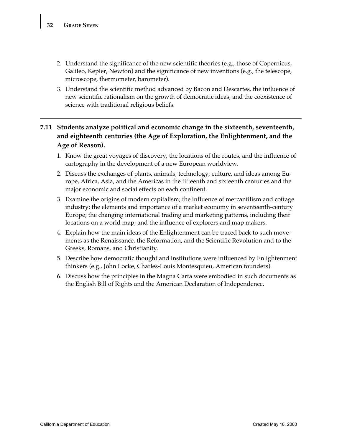- 2. Understand the significance of the new scientific theories (e.g., those of Copernicus, Galileo, Kepler, Newton) and the significance of new inventions (e.g., the telescope, microscope, thermometer, barometer).
- 3. Understand the scientific method advanced by Bacon and Descartes, the influence of new scientific rationalism on the growth of democratic ideas, and the coexistence of science with traditional religious beliefs.

**7.11 Students analyze political and economic change in the sixteenth, seventeenth, and eighteenth centuries (the Age of Exploration, the Enlightenment, and the Age of Reason).** 

- 1. Know the great voyages of discovery, the locations of the routes, and the influence of cartography in the development of a new European worldview.
- 2. Discuss the exchanges of plants, animals, technology, culture, and ideas among Europe, Africa, Asia, and the Americas in the fifteenth and sixteenth centuries and the major economic and social effects on each continent.
- 3. Examine the origins of modern capitalism; the influence of mercantilism and cottage industry; the elements and importance of a market economy in seventeenth-century Europe; the changing international trading and marketing patterns, including their locations on a world map; and the influence of explorers and map makers.
- 4. Explain how the main ideas of the Enlightenment can be traced back to such movements as the Renaissance, the Reformation, and the Scientific Revolution and to the Greeks, Romans, and Christianity.
- 5. Describe how democratic thought and institutions were influenced by Enlightenment thinkers (e.g., John Locke, Charles-Louis Montesquieu, American founders).
- 6. Discuss how the principles in the Magna Carta were embodied in such documents as the English Bill of Rights and the American Declaration of Independence.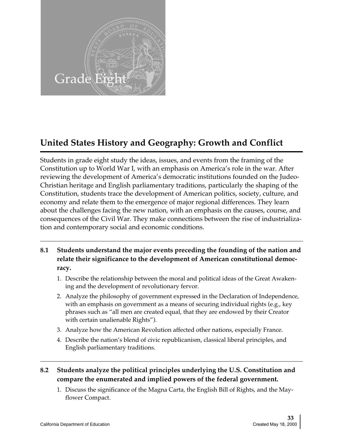

## **United States History and Geography: Growth and Conflict**

Students in grade eight study the ideas, issues, and events from the framing of the Constitution up to World War I, with an emphasis on America's role in the war. After reviewing the development of America's democratic institutions founded on the Judeo-Christian heritage and English parliamentary traditions, particularly the shaping of the Constitution, students trace the development of American politics, society, culture, and economy and relate them to the emergence of major regional differences. They learn about the challenges facing the new nation, with an emphasis on the causes, course, and consequences of the Civil War. They make connections between the rise of industrialization and contemporary social and economic conditions.

- **8.1 Students understand the major events preceding the founding of the nation and relate their significance to the development of American constitutional democracy.** 
	- 1. Describe the relationship between the moral and political ideas of the Great Awakening and the development of revolutionary fervor.
	- 2. Analyze the philosophy of government expressed in the Declaration of Independence, with an emphasis on government as a means of securing individual rights (e.g., key phrases such as "all men are created equal, that they are endowed by their Creator with certain unalienable Rights").
	- 3. Analyze how the American Revolution affected other nations, especially France.
	- 4. Describe the nation's blend of civic republicanism, classical liberal principles, and English parliamentary traditions.

## **8.2 Students analyze the political principles underlying the U.S. Constitution and compare the enumerated and implied powers of the federal government.**

1. Discuss the significance of the Magna Carta, the English Bill of Rights, and the Mayflower Compact.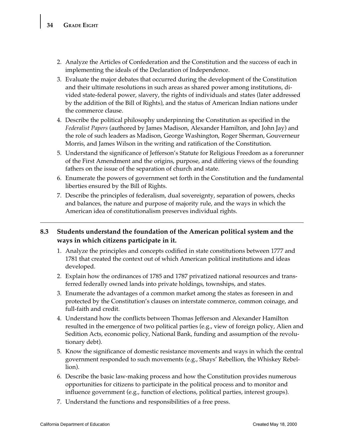- 2. Analyze the Articles of Confederation and the Constitution and the success of each in implementing the ideals of the Declaration of Independence.
- 3. Evaluate the major debates that occurred during the development of the Constitution and their ultimate resolutions in such areas as shared power among institutions, divided state-federal power, slavery, the rights of individuals and states (later addressed by the addition of the Bill of Rights), and the status of American Indian nations under the commerce clause.
- 4. Describe the political philosophy underpinning the Constitution as specified in the *Federalist Papers* (authored by James Madison, Alexander Hamilton, and John Jay) and the role of such leaders as Madison, George Washington, Roger Sherman, Gouverneur Morris, and James Wilson in the writing and ratification of the Constitution.
- 5. Understand the significance of Jefferson's Statute for Religious Freedom as a forerunner of the First Amendment and the origins, purpose, and differing views of the founding fathers on the issue of the separation of church and state.
- 6. Enumerate the powers of government set forth in the Constitution and the fundamental liberties ensured by the Bill of Rights.
- 7. Describe the principles of federalism, dual sovereignty, separation of powers, checks and balances, the nature and purpose of majority rule, and the ways in which the American idea of constitutionalism preserves individual rights.

## **8.3 Students understand the foundation of the American political system and the ways in which citizens participate in it.**

- 1. Analyze the principles and concepts codified in state constitutions between 1777 and 1781 that created the context out of which American political institutions and ideas developed.
- 2. Explain how the ordinances of 1785 and 1787 privatized national resources and transferred federally owned lands into private holdings, townships, and states.
- 3. Enumerate the advantages of a common market among the states as foreseen in and protected by the Constitution's clauses on interstate commerce, common coinage, and full-faith and credit.
- 4. Understand how the conflicts between Thomas Jefferson and Alexander Hamilton resulted in the emergence of two political parties (e.g., view of foreign policy, Alien and Sedition Acts, economic policy, National Bank, funding and assumption of the revolutionary debt).
- 5. Know the significance of domestic resistance movements and ways in which the central government responded to such movements (e.g., Shays' Rebellion, the Whiskey Rebellion).
- 6. Describe the basic law-making process and how the Constitution provides numerous opportunities for citizens to participate in the political process and to monitor and influence government (e.g., function of elections, political parties, interest groups).
- 7. Understand the functions and responsibilities of a free press.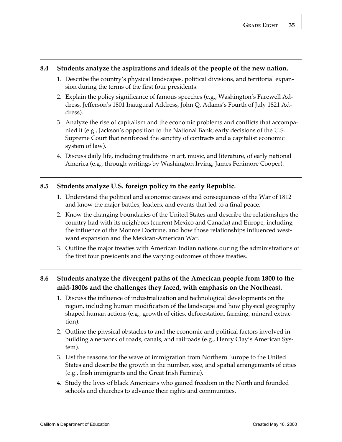#### **8.4 Students analyze the aspirations and ideals of the people of the new nation.**

- 1. Describe the country's physical landscapes, political divisions, and territorial expansion during the terms of the first four presidents.
- 2. Explain the policy significance of famous speeches (e.g., Washington's Farewell Address, Jefferson's 1801 Inaugural Address, John Q. Adams's Fourth of July 1821 Address).
- 3. Analyze the rise of capitalism and the economic problems and conflicts that accompanied it (e.g., Jackson's opposition to the National Bank; early decisions of the U.S. Supreme Court that reinforced the sanctity of contracts and a capitalist economic system of law).
- 4. Discuss daily life, including traditions in art, music, and literature, of early national America (e.g., through writings by Washington Irving, James Fenimore Cooper).

### **8.5 Students analyze U.S. foreign policy in the early Republic.**

- 1. Understand the political and economic causes and consequences of the War of 1812 and know the major battles, leaders, and events that led to a final peace.
- 2. Know the changing boundaries of the United States and describe the relationships the country had with its neighbors (current Mexico and Canada) and Europe, including the influence of the Monroe Doctrine, and how those relationships influenced westward expansion and the Mexican-American War.
- 3. Outline the major treaties with American Indian nations during the administrations of the first four presidents and the varying outcomes of those treaties.

## **8.6 Students analyze the divergent paths of the American people from 1800 to the mid-1800s and the challenges they faced, with emphasis on the Northeast.**

- 1. Discuss the influence of industrialization and technological developments on the region, including human modification of the landscape and how physical geography shaped human actions (e.g., growth of cities, deforestation, farming, mineral extraction).
- 2. Outline the physical obstacles to and the economic and political factors involved in building a network of roads, canals, and railroads (e.g., Henry Clay's American System).
- 3. List the reasons for the wave of immigration from Northern Europe to the United States and describe the growth in the number, size, and spatial arrangements of cities (e.g., Irish immigrants and the Great Irish Famine).
- 4. Study the lives of black Americans who gained freedom in the North and founded schools and churches to advance their rights and communities.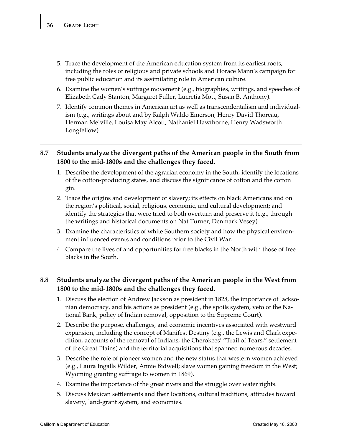- 5. Trace the development of the American education system from its earliest roots, including the roles of religious and private schools and Horace Mann's campaign for free public education and its assimilating role in American culture.
- 6. Examine the women's suffrage movement (e.g., biographies, writings, and speeches of Elizabeth Cady Stanton, Margaret Fuller, Lucretia Mott, Susan B. Anthony).
- 7. Identify common themes in American art as well as transcendentalism and individualism (e.g., writings about and by Ralph Waldo Emerson, Henry David Thoreau, Herman Melville, Louisa May Alcott, Nathaniel Hawthorne, Henry Wadsworth Longfellow).

### **8.7 Students analyze the divergent paths of the American people in the South from 1800 to the mid-1800s and the challenges they faced.**

- 1. Describe the development of the agrarian economy in the South, identify the locations of the cotton-producing states, and discuss the significance of cotton and the cotton gin.
- 2. Trace the origins and development of slavery; its effects on black Americans and on the region's political, social, religious, economic, and cultural development; and identify the strategies that were tried to both overturn and preserve it (e.g., through the writings and historical documents on Nat Turner, Denmark Vesey).
- 3. Examine the characteristics of white Southern society and how the physical environment influenced events and conditions prior to the Civil War.
- 4. Compare the lives of and opportunities for free blacks in the North with those of free blacks in the South.

## **8.8 Students analyze the divergent paths of the American people in the West from 1800 to the mid-1800s and the challenges they faced.**

- 1. Discuss the election of Andrew Jackson as president in 1828, the importance of Jacksonian democracy, and his actions as president (e.g., the spoils system, veto of the National Bank, policy of Indian removal, opposition to the Supreme Court).
- 2. Describe the purpose, challenges, and economic incentives associated with westward expansion, including the concept of Manifest Destiny (e.g., the Lewis and Clark expedition, accounts of the removal of Indians, the Cherokees' "Trail of Tears," settlement of the Great Plains) and the territorial acquisitions that spanned numerous decades.
- 3. Describe the role of pioneer women and the new status that western women achieved (e.g., Laura Ingalls Wilder, Annie Bidwell; slave women gaining freedom in the West; Wyoming granting suffrage to women in 1869).
- 4. Examine the importance of the great rivers and the struggle over water rights.
- 5. Discuss Mexican settlements and their locations, cultural traditions, attitudes toward slavery, land-grant system, and economies.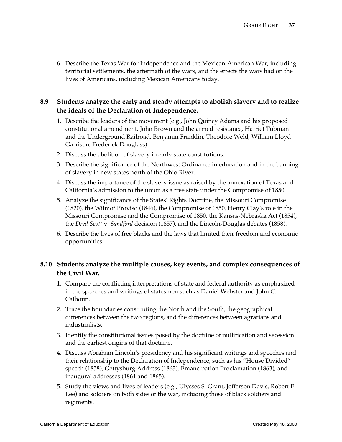6. Describe the Texas War for Independence and the Mexican-American War, including territorial settlements, the aftermath of the wars, and the effects the wars had on the lives of Americans, including Mexican Americans today.

## **8.9 Students analyze the early and steady attempts to abolish slavery and to realize the ideals of the Declaration of Independence.**

- 1. Describe the leaders of the movement (e.g., John Quincy Adams and his proposed constitutional amendment, John Brown and the armed resistance, Harriet Tubman and the Underground Railroad, Benjamin Franklin, Theodore Weld, William Lloyd Garrison, Frederick Douglass).
- 2. Discuss the abolition of slavery in early state constitutions.
- 3. Describe the significance of the Northwest Ordinance in education and in the banning of slavery in new states north of the Ohio River.
- 4. Discuss the importance of the slavery issue as raised by the annexation of Texas and California's admission to the union as a free state under the Compromise of 1850.
- 5. Analyze the significance of the States' Rights Doctrine, the Missouri Compromise (1820), the Wilmot Proviso (1846), the Compromise of 1850, Henry Clay's role in the Missouri Compromise and the Compromise of 1850, the Kansas-Nebraska Act (1854), the *Dred Scott* v. *Sandford* decision (1857), and the Lincoln-Douglas debates (1858).
- 6. Describe the lives of free blacks and the laws that limited their freedom and economic opportunities.

## **8.10 Students analyze the multiple causes, key events, and complex consequences of the Civil War.**

- 1. Compare the conflicting interpretations of state and federal authority as emphasized in the speeches and writings of statesmen such as Daniel Webster and John C. Calhoun.
- 2. Trace the boundaries constituting the North and the South, the geographical differences between the two regions, and the differences between agrarians and industrialists.
- 3. Identify the constitutional issues posed by the doctrine of nullification and secession and the earliest origins of that doctrine.
- 4. Discuss Abraham Lincoln's presidency and his significant writings and speeches and their relationship to the Declaration of Independence, such as his "House Divided" speech (1858), Gettysburg Address (1863), Emancipation Proclamation (1863), and inaugural addresses (1861 and 1865).
- 5. Study the views and lives of leaders (e.g., Ulysses S. Grant, Jefferson Davis, Robert E. Lee) and soldiers on both sides of the war, including those of black soldiers and regiments.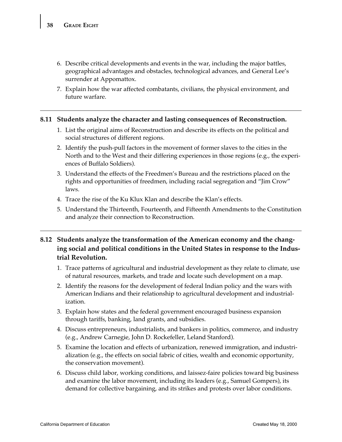- 6. Describe critical developments and events in the war, including the major battles, geographical advantages and obstacles, technological advances, and General Lee's surrender at Appomattox.
- 7. Explain how the war affected combatants, civilians, the physical environment, and future warfare.

#### **8.11 Students analyze the character and lasting consequences of Reconstruction.**

- 1. List the original aims of Reconstruction and describe its effects on the political and social structures of different regions.
- 2. Identify the push-pull factors in the movement of former slaves to the cities in the North and to the West and their differing experiences in those regions (e.g., the experiences of Buffalo Soldiers).
- 3. Understand the effects of the Freedmen's Bureau and the restrictions placed on the rights and opportunities of freedmen, including racial segregation and "Jim Crow" laws.
- 4. Trace the rise of the Ku Klux Klan and describe the Klan's effects.
- 5. Understand the Thirteenth, Fourteenth, and Fifteenth Amendments to the Constitution and analyze their connection to Reconstruction.

## **8.12 Students analyze the transformation of the American economy and the changing social and political conditions in the United States in response to the Industrial Revolution.**

- 1. Trace patterns of agricultural and industrial development as they relate to climate, use of natural resources, markets, and trade and locate such development on a map.
- 2. Identify the reasons for the development of federal Indian policy and the wars with American Indians and their relationship to agricultural development and industrialization.
- 3. Explain how states and the federal government encouraged business expansion through tariffs, banking, land grants, and subsidies.
- 4. Discuss entrepreneurs, industrialists, and bankers in politics, commerce, and industry (e.g., Andrew Carnegie, John D. Rockefeller, Leland Stanford).
- 5. Examine the location and effects of urbanization, renewed immigration, and industrialization (e.g., the effects on social fabric of cities, wealth and economic opportunity, the conservation movement).
- 6. Discuss child labor, working conditions, and laissez-faire policies toward big business and examine the labor movement, including its leaders (e.g., Samuel Gompers), its demand for collective bargaining, and its strikes and protests over labor conditions.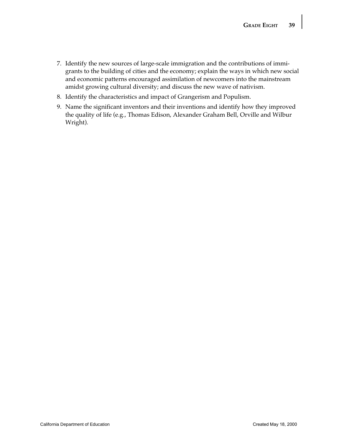- 7. Identify the new sources of large-scale immigration and the contributions of immigrants to the building of cities and the economy; explain the ways in which new social and economic patterns encouraged assimilation of newcomers into the mainstream amidst growing cultural diversity; and discuss the new wave of nativism.
- 8. Identify the characteristics and impact of Grangerism and Populism.
- 9. Name the significant inventors and their inventions and identify how they improved the quality of life (e.g., Thomas Edison, Alexander Graham Bell, Orville and Wilbur Wright).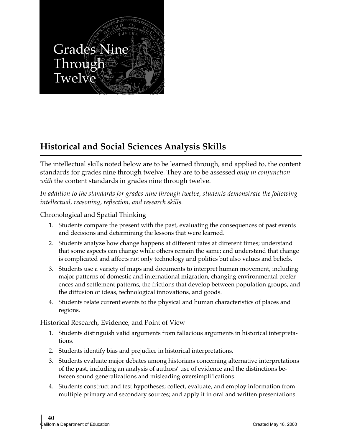

## **Historical and Social Sciences Analysis Skills**

The intellectual skills noted below are to be learned through, and applied to, the content standards for grades nine through twelve. They are to be assessed *only in conjunction with* the content standards in grades nine through twelve.

*In addition to the standards for grades nine through twelve, students demonstrate the following intellectual, reasoning, reflection, and research skills.* 

## Chronological and Spatial Thinking

- 1. Students compare the present with the past, evaluating the consequences of past events and decisions and determining the lessons that were learned.
- 2. Students analyze how change happens at different rates at different times; understand that some aspects can change while others remain the same; and understand that change is complicated and affects not only technology and politics but also values and beliefs.
- 3. Students use a variety of maps and documents to interpret human movement, including major patterns of domestic and international migration, changing environmental preferences and settlement patterns, the frictions that develop between population groups, and the diffusion of ideas, technological innovations, and goods.
- 4. Students relate current events to the physical and human characteristics of places and regions.

Historical Research, Evidence, and Point of View

- 1. Students distinguish valid arguments from fallacious arguments in historical interpretations.
- 2. Students identify bias and prejudice in historical interpretations.
- 3. Students evaluate major debates among historians concerning alternative interpretations of the past, including an analysis of authors' use of evidence and the distinctions between sound generalizations and misleading oversimplifications.
- 4. Students construct and test hypotheses; collect, evaluate, and employ information from multiple primary and secondary sources; and apply it in oral and written presentations.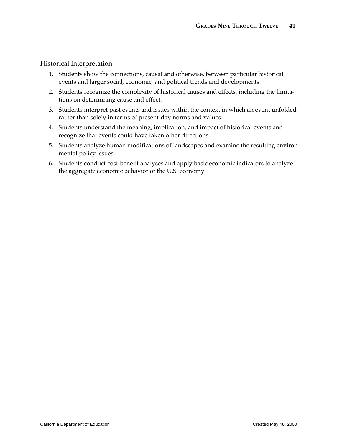#### Historical Interpretation

- 1. Students show the connections, causal and otherwise, between particular historical events and larger social, economic, and political trends and developments.
- 2. Students recognize the complexity of historical causes and effects, including the limitations on determining cause and effect.
- 3. Students interpret past events and issues within the context in which an event unfolded rather than solely in terms of present-day norms and values.
- 4. Students understand the meaning, implication, and impact of historical events and recognize that events could have taken other directions.
- 5. Students analyze human modifications of landscapes and examine the resulting environmental policy issues.
- 6. Students conduct cost-benefit analyses and apply basic economic indicators to analyze the aggregate economic behavior of the U.S. economy.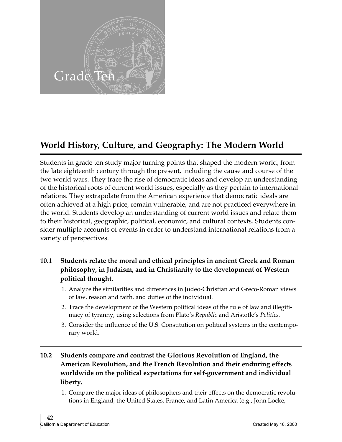

## **World History, Culture, and Geography: The Modern World**

Students in grade ten study major turning points that shaped the modern world, from the late eighteenth century through the present, including the cause and course of the two world wars. They trace the rise of democratic ideas and develop an understanding of the historical roots of current world issues, especially as they pertain to international relations. They extrapolate from the American experience that democratic ideals are often achieved at a high price, remain vulnerable, and are not practiced everywhere in the world. Students develop an understanding of current world issues and relate them to their historical, geographic, political, economic, and cultural contexts. Students consider multiple accounts of events in order to understand international relations from a variety of perspectives.

## **10.1 Students relate the moral and ethical principles in ancient Greek and Roman philosophy, in Judaism, and in Christianity to the development of Western political thought.**

- 1. Analyze the similarities and differences in Judeo-Christian and Greco-Roman views of law, reason and faith, and duties of the individual.
- 2. Trace the development of the Western political ideas of the rule of law and illegitimacy of tyranny, using selections from Plato's *Republic* and Aristotle's *Politics.*
- 3. Consider the influence of the U.S. Constitution on political systems in the contemporary world.

## **10.2 Students compare and contrast the Glorious Revolution of England, the American Revolution, and the French Revolution and their enduring effects worldwide on the political expectations for self-government and individual liberty.**

1. Compare the major ideas of philosophers and their effects on the democratic revolutions in England, the United States, France, and Latin America (e.g., John Locke,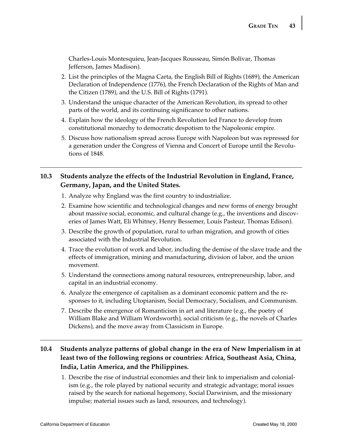Charles-Louis Montesquieu, Jean-Jacques Rousseau, Simón Bolívar, Thomas Jefferson, James Madison).

- 2. List the principles of the Magna Carta, the English Bill of Rights (1689), the American Declaration of Independence (1776), the French Declaration of the Rights of Man and the Citizen (1789), and the U.S. Bill of Rights (1791).
- 3. Understand the unique character of the American Revolution, its spread to other parts of the world, and its continuing significance to other nations.
- 4. Explain how the ideology of the French Revolution led France to develop from constitutional monarchy to democratic despotism to the Napoleonic empire.
- 5. Discuss how nationalism spread across Europe with Napoleon but was repressed for a generation under the Congress of Vienna and Concert of Europe until the Revolutions of 1848.

## **10.3 Students analyze the effects of the Industrial Revolution in England, France, Germany, Japan, and the United States.**

- 1. Analyze why England was the first country to industrialize.
- 2. Examine how scientific and technological changes and new forms of energy brought about massive social, economic, and cultural change (e.g., the inventions and discoveries of James Watt, Eli Whitney, Henry Bessemer, Louis Pasteur, Thomas Edison).
- 3. Describe the growth of population, rural to urban migration, and growth of cities associated with the Industrial Revolution.
- 4. Trace the evolution of work and labor, including the demise of the slave trade and the effects of immigration, mining and manufacturing, division of labor, and the union movement.
- 5. Understand the connections among natural resources, entrepreneurship, labor, and capital in an industrial economy.
- 6. Analyze the emergence of capitalism as a dominant economic pattern and the responses to it, including Utopianism, Social Democracy, Socialism, and Communism.
- 7. Describe the emergence of Romanticism in art and literature (e.g., the poetry of William Blake and William Wordsworth), social criticism (e.g., the novels of Charles Dickens), and the move away from Classicism in Europe.

## **10.4 Students analyze patterns of global change in the era of New Imperialism in at least two of the following regions or countries: Africa, Southeast Asia, China, India, Latin America, and the Philippines.**

1. Describe the rise of industrial economies and their link to imperialism and colonialism (e.g., the role played by national security and strategic advantage; moral issues raised by the search for national hegemony, Social Darwinism, and the missionary impulse; material issues such as land, resources, and technology).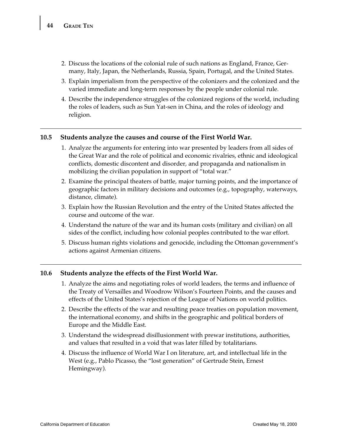- 2. Discuss the locations of the colonial rule of such nations as England, France, Germany, Italy, Japan, the Netherlands, Russia, Spain, Portugal, and the United States.
- 3. Explain imperialism from the perspective of the colonizers and the colonized and the varied immediate and long-term responses by the people under colonial rule.
- 4. Describe the independence struggles of the colonized regions of the world, including the roles of leaders, such as Sun Yat-sen in China, and the roles of ideology and religion.

#### **10.5 Students analyze the causes and course of the First World War.**

- 1. Analyze the arguments for entering into war presented by leaders from all sides of the Great War and the role of political and economic rivalries, ethnic and ideological conflicts, domestic discontent and disorder, and propaganda and nationalism in mobilizing the civilian population in support of "total war."
- 2. Examine the principal theaters of battle, major turning points, and the importance of geographic factors in military decisions and outcomes (e.g., topography, waterways, distance, climate).
- 3. Explain how the Russian Revolution and the entry of the United States affected the course and outcome of the war.
- 4. Understand the nature of the war and its human costs (military and civilian) on all sides of the conflict, including how colonial peoples contributed to the war effort.
- 5. Discuss human rights violations and genocide, including the Ottoman government's actions against Armenian citizens.

#### **10.6 Students analyze the effects of the First World War.**

- 1. Analyze the aims and negotiating roles of world leaders, the terms and influence of the Treaty of Versailles and Woodrow Wilson's Fourteen Points, and the causes and effects of the United States's rejection of the League of Nations on world politics.
- 2. Describe the effects of the war and resulting peace treaties on population movement, the international economy, and shifts in the geographic and political borders of Europe and the Middle East.
- 3. Understand the widespread disillusionment with prewar institutions, authorities, and values that resulted in a void that was later filled by totalitarians.
- 4. Discuss the influence of World War I on literature, art, and intellectual life in the West (e.g., Pablo Picasso, the "lost generation" of Gertrude Stein, Ernest Hemingway).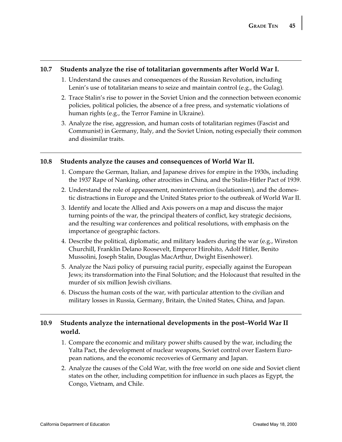#### **10.7 Students analyze the rise of totalitarian governments after World War I.**

- 1. Understand the causes and consequences of the Russian Revolution, including Lenin's use of totalitarian means to seize and maintain control (e.g., the Gulag).
- 2. Trace Stalin's rise to power in the Soviet Union and the connection between economic policies, political policies, the absence of a free press, and systematic violations of human rights (e.g., the Terror Famine in Ukraine).
- 3. Analyze the rise, aggression, and human costs of totalitarian regimes (Fascist and Communist) in Germany, Italy, and the Soviet Union, noting especially their common and dissimilar traits.

#### **10.8 Students analyze the causes and consequences of World War II.**

- 1. Compare the German, Italian, and Japanese drives for empire in the 1930s, including the 1937 Rape of Nanking, other atrocities in China, and the Stalin-Hitler Pact of 1939.
- 2. Understand the role of appeasement, nonintervention (isolationism), and the domestic distractions in Europe and the United States prior to the outbreak of World War II.
- 3. Identify and locate the Allied and Axis powers on a map and discuss the major turning points of the war, the principal theaters of conflict, key strategic decisions, and the resulting war conferences and political resolutions, with emphasis on the importance of geographic factors.
- 4. Describe the political, diplomatic, and military leaders during the war (e.g., Winston Churchill, Franklin Delano Roosevelt, Emperor Hirohito, Adolf Hitler, Benito Mussolini, Joseph Stalin, Douglas MacArthur, Dwight Eisenhower).
- 5. Analyze the Nazi policy of pursuing racial purity, especially against the European Jews; its transformation into the Final Solution; and the Holocaust that resulted in the murder of six million Jewish civilians.
- 6. Discuss the human costs of the war, with particular attention to the civilian and military losses in Russia, Germany, Britain, the United States, China, and Japan.

## **10.9 Students analyze the international developments in the post–World War II world.**

- 1. Compare the economic and military power shifts caused by the war, including the Yalta Pact, the development of nuclear weapons, Soviet control over Eastern European nations, and the economic recoveries of Germany and Japan.
- 2. Analyze the causes of the Cold War, with the free world on one side and Soviet client states on the other, including competition for influence in such places as Egypt, the Congo, Vietnam, and Chile.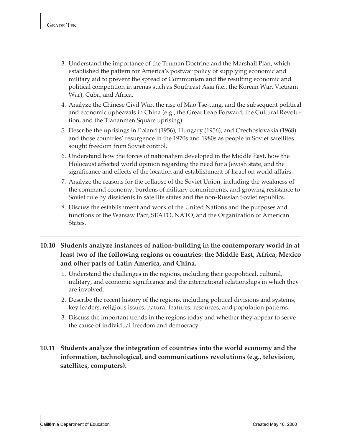- 3. Understand the importance of the Truman Doctrine and the Marshall Plan, which established the pattern for America's postwar policy of supplying economic and military aid to prevent the spread of Communism and the resulting economic and political competition in arenas such as Southeast Asia (i.e., the Korean War, Vietnam War), Cuba, and Africa.
- 4. Analyze the Chinese Civil War, the rise of Mao Tse-tung, and the subsequent political and economic upheavals in China (e.g., the Great Leap Forward, the Cultural Revolution, and the Tiananmen Square uprising).
- 5. Describe the uprisings in Poland (1956), Hungary (1956), and Czechoslovakia (1968) and those countries' resurgence in the 1970s and 1980s as people in Soviet satellites sought freedom from Soviet control.
- 6. Understand how the forces of nationalism developed in the Middle East, how the Holocaust affected world opinion regarding the need for a Jewish state, and the significance and effects of the location and establishment of Israel on world affairs.
- 7. Analyze the reasons for the collapse of the Soviet Union, including the weakness of the command economy, burdens of military commitments, and growing resistance to Soviet rule by dissidents in satellite states and the non-Russian Soviet republics.
- 8. Discuss the establishment and work of the United Nations and the purposes and functions of the Warsaw Pact, SEATO, NATO, and the Organization of American States.
- **10.10 Students analyze instances of nation-building in the contemporary world in at least two of the following regions or countries: the Middle East, Africa, Mexico and other parts of Latin America, and China.** 
	- 1. Understand the challenges in the regions, including their geopolitical, cultural, military, and economic significance and the international relationships in which they are involved.
	- 2. Describe the recent history of the regions, including political divisions and systems, key leaders, religious issues, natural features, resources, and population patterns.
	- 3. Discuss the important trends in the regions today and whether they appear to serve the cause of individual freedom and democracy.

## **10.11 Students analyze the integration of countries into the world economy and the information, technological, and communications revolutions (e.g., television, satellites, computers).**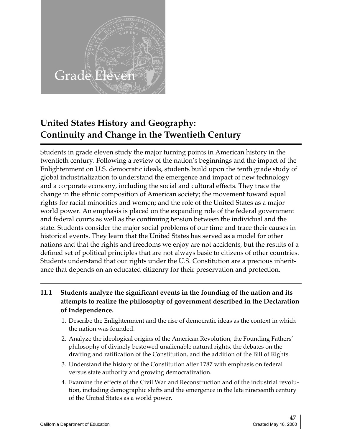

## **United States History and Geography: Continuity and Change in the Twentieth Century**

Students in grade eleven study the major turning points in American history in the twentieth century. Following a review of the nation's beginnings and the impact of the Enlightenment on U.S. democratic ideals, students build upon the tenth grade study of global industrialization to understand the emergence and impact of new technology and a corporate economy, including the social and cultural effects. They trace the change in the ethnic composition of American society; the movement toward equal rights for racial minorities and women; and the role of the United States as a major world power. An emphasis is placed on the expanding role of the federal government and federal courts as well as the continuing tension between the individual and the state. Students consider the major social problems of our time and trace their causes in historical events. They learn that the United States has served as a model for other nations and that the rights and freedoms we enjoy are not accidents, but the results of a defined set of political principles that are not always basic to citizens of other countries. Students understand that our rights under the U.S. Constitution are a precious inheritance that depends on an educated citizenry for their preservation and protection.

**11.1 Students analyze the significant events in the founding of the nation and its attempts to realize the philosophy of government described in the Declaration of Independence.** 

- 1. Describe the Enlightenment and the rise of democratic ideas as the context in which the nation was founded.
- 2. Analyze the ideological origins of the American Revolution, the Founding Fathers' philosophy of divinely bestowed unalienable natural rights, the debates on the drafting and ratification of the Constitution, and the addition of the Bill of Rights.
- 3. Understand the history of the Constitution after 1787 with emphasis on federal versus state authority and growing democratization.
- 4. Examine the effects of the Civil War and Reconstruction and of the industrial revolution, including demographic shifts and the emergence in the late nineteenth century of the United States as a world power.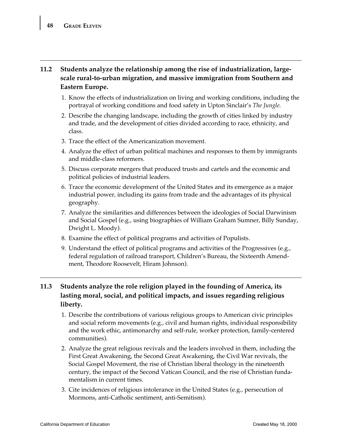## **11.2 Students analyze the relationship among the rise of industrialization, largescale rural-to-urban migration, and massive immigration from Southern and Eastern Europe.**

- 1. Know the effects of industrialization on living and working conditions, including the portrayal of working conditions and food safety in Upton Sinclair's *The Jungle.*
- 2. Describe the changing landscape, including the growth of cities linked by industry and trade, and the development of cities divided according to race, ethnicity, and class.
- 3. Trace the effect of the Americanization movement.
- 4. Analyze the effect of urban political machines and responses to them by immigrants and middle-class reformers.
- 5. Discuss corporate mergers that produced trusts and cartels and the economic and political policies of industrial leaders.
- 6. Trace the economic development of the United States and its emergence as a major industrial power, including its gains from trade and the advantages of its physical geography.
- 7. Analyze the similarities and differences between the ideologies of Social Darwinism and Social Gospel (e.g., using biographies of William Graham Sumner, Billy Sunday, Dwight L. Moody).
- 8. Examine the effect of political programs and activities of Populists.
- 9. Understand the effect of political programs and activities of the Progressives (e.g., federal regulation of railroad transport, Children's Bureau, the Sixteenth Amendment, Theodore Roosevelt, Hiram Johnson).

## **11.3 Students analyze the role religion played in the founding of America, its lasting moral, social, and political impacts, and issues regarding religious liberty.**

- 1. Describe the contributions of various religious groups to American civic principles and social reform movements (e.g., civil and human rights, individual responsibility and the work ethic, antimonarchy and self-rule, worker protection, family-centered communities).
- 2. Analyze the great religious revivals and the leaders involved in them, including the First Great Awakening, the Second Great Awakening, the Civil War revivals, the Social Gospel Movement, the rise of Christian liberal theology in the nineteenth century, the impact of the Second Vatican Council, and the rise of Christian fundamentalism in current times.
- 3. Cite incidences of religious intolerance in the United States (e.g., persecution of Mormons, anti-Catholic sentiment, anti-Semitism).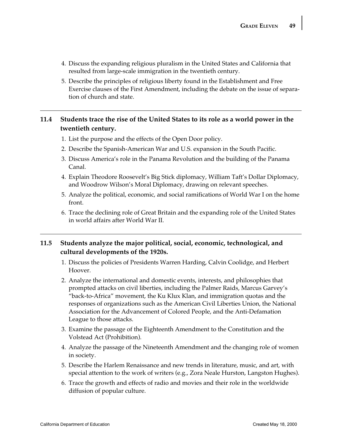- 4. Discuss the expanding religious pluralism in the United States and California that resulted from large-scale immigration in the twentieth century.
- 5. Describe the principles of religious liberty found in the Establishment and Free Exercise clauses of the First Amendment, including the debate on the issue of separation of church and state.

## **11.4 Students trace the rise of the United States to its role as a world power in the twentieth century.**

- 1. List the purpose and the effects of the Open Door policy.
- 2. Describe the Spanish-American War and U.S. expansion in the South Pacific.
- 3. Discuss America's role in the Panama Revolution and the building of the Panama Canal.
- 4. Explain Theodore Roosevelt's Big Stick diplomacy, William Taft's Dollar Diplomacy, and Woodrow Wilson's Moral Diplomacy, drawing on relevant speeches.
- 5. Analyze the political, economic, and social ramifications of World War I on the home front.
- 6. Trace the declining role of Great Britain and the expanding role of the United States in world affairs after World War II.

## **11.5 Students analyze the major political, social, economic, technological, and cultural developments of the 1920s.**

- 1. Discuss the policies of Presidents Warren Harding, Calvin Coolidge, and Herbert Hoover.
- 2. Analyze the international and domestic events, interests, and philosophies that prompted attacks on civil liberties, including the Palmer Raids, Marcus Garvey's "back-to-Africa" movement, the Ku Klux Klan, and immigration quotas and the responses of organizations such as the American Civil Liberties Union, the National Association for the Advancement of Colored People, and the Anti-Defamation League to those attacks.
- 3. Examine the passage of the Eighteenth Amendment to the Constitution and the Volstead Act (Prohibition).
- 4. Analyze the passage of the Nineteenth Amendment and the changing role of women in society.
- 5. Describe the Harlem Renaissance and new trends in literature, music, and art, with special attention to the work of writers (e.g., Zora Neale Hurston, Langston Hughes).
- 6. Trace the growth and effects of radio and movies and their role in the worldwide diffusion of popular culture.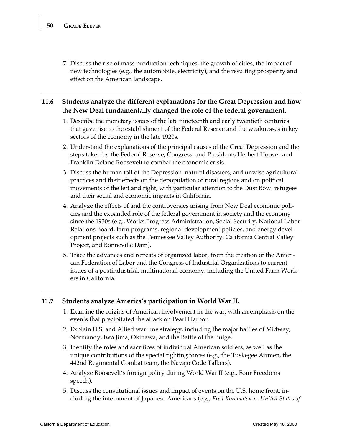7. Discuss the rise of mass production techniques, the growth of cities, the impact of new technologies (e.g., the automobile, electricity), and the resulting prosperity and effect on the American landscape.

## **11.6 Students analyze the different explanations for the Great Depression and how the New Deal fundamentally changed the role of the federal government.**

- 1. Describe the monetary issues of the late nineteenth and early twentieth centuries that gave rise to the establishment of the Federal Reserve and the weaknesses in key sectors of the economy in the late 1920s.
- 2. Understand the explanations of the principal causes of the Great Depression and the steps taken by the Federal Reserve, Congress, and Presidents Herbert Hoover and Franklin Delano Roosevelt to combat the economic crisis.
- 3. Discuss the human toll of the Depression, natural disasters, and unwise agricultural practices and their effects on the depopulation of rural regions and on political movements of the left and right, with particular attention to the Dust Bowl refugees and their social and economic impacts in California.
- 4. Analyze the effects of and the controversies arising from New Deal economic policies and the expanded role of the federal government in society and the economy since the 1930s (e.g., Works Progress Administration, Social Security, National Labor Relations Board, farm programs, regional development policies, and energy development projects such as the Tennessee Valley Authority, California Central Valley Project, and Bonneville Dam).
- 5. Trace the advances and retreats of organized labor, from the creation of the American Federation of Labor and the Congress of Industrial Organizations to current issues of a postindustrial, multinational economy, including the United Farm Workers in California.

### **11.7 Students analyze America's participation in World War II.**

- 1. Examine the origins of American involvement in the war, with an emphasis on the events that precipitated the attack on Pearl Harbor.
- 2. Explain U.S. and Allied wartime strategy, including the major battles of Midway, Normandy, Iwo Jima, Okinawa, and the Battle of the Bulge.
- 3. Identify the roles and sacrifices of individual American soldiers, as well as the unique contributions of the special fighting forces (e.g., the Tuskegee Airmen, the 442nd Regimental Combat team, the Navajo Code Talkers).
- 4. Analyze Roosevelt's foreign policy during World War II (e.g., Four Freedoms speech).
- 5. Discuss the constitutional issues and impact of events on the U.S. home front, including the internment of Japanese Americans (e.g., *Fred Korematsu* v. *United States of*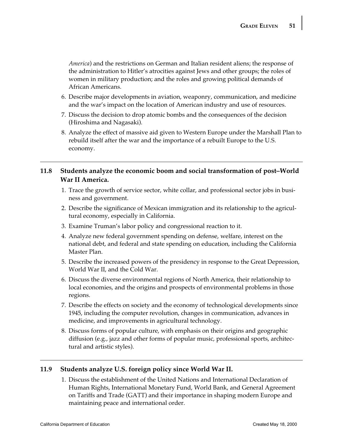*America*) and the restrictions on German and Italian resident aliens; the response of the administration to Hitler's atrocities against Jews and other groups; the roles of women in military production; and the roles and growing political demands of African Americans.

- 6. Describe major developments in aviation, weaponry, communication, and medicine and the war's impact on the location of American industry and use of resources.
- 7. Discuss the decision to drop atomic bombs and the consequences of the decision (Hiroshima and Nagasaki).
- 8. Analyze the effect of massive aid given to Western Europe under the Marshall Plan to rebuild itself after the war and the importance of a rebuilt Europe to the U.S. economy.

### **11.8 Students analyze the economic boom and social transformation of post–World War II America.**

- 1. Trace the growth of service sector, white collar, and professional sector jobs in business and government.
- 2. Describe the significance of Mexican immigration and its relationship to the agricultural economy, especially in California.
- 3. Examine Truman's labor policy and congressional reaction to it.
- 4. Analyze new federal government spending on defense, welfare, interest on the national debt, and federal and state spending on education, including the California Master Plan.
- 5. Describe the increased powers of the presidency in response to the Great Depression, World War II, and the Cold War.
- 6. Discuss the diverse environmental regions of North America, their relationship to local economies, and the origins and prospects of environmental problems in those regions.
- 7. Describe the effects on society and the economy of technological developments since 1945, including the computer revolution, changes in communication, advances in medicine, and improvements in agricultural technology.
- 8. Discuss forms of popular culture, with emphasis on their origins and geographic diffusion (e.g., jazz and other forms of popular music, professional sports, architectural and artistic styles).

#### **11.9 Students analyze U.S. foreign policy since World War II.**

1. Discuss the establishment of the United Nations and International Declaration of Human Rights, International Monetary Fund, World Bank, and General Agreement on Tariffs and Trade (GATT) and their importance in shaping modern Europe and maintaining peace and international order.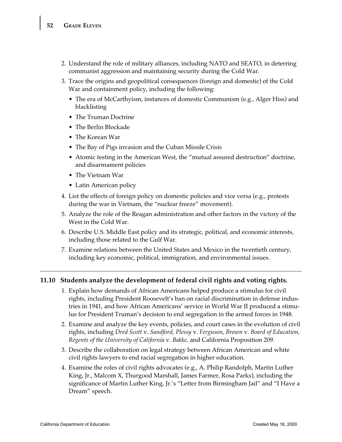- 2. Understand the role of military alliances, including NATO and SEATO, in deterring communist aggression and maintaining security during the Cold War.
- 3. Trace the origins and geopolitical consequences (foreign and domestic) of the Cold War and containment policy, including the following:
	- The era of McCarthyism, instances of domestic Communism (e.g., Alger Hiss) and blacklisting
	- The Truman Doctrine
	- The Berlin Blockade
	- The Korean War
	- The Bay of Pigs invasion and the Cuban Missile Crisis
	- Atomic testing in the American West, the "mutual assured destruction" doctrine, and disarmament policies
	- The Vietnam War
	- Latin American policy
- 4. List the effects of foreign policy on domestic policies and vice versa (e.g., protests during the war in Vietnam, the "nuclear freeze" movement).
- 5. Analyze the role of the Reagan administration and other factors in the victory of the West in the Cold War.
- 6. Describe U.S. Middle East policy and its strategic, political, and economic interests, including those related to the Gulf War.
- 7. Examine relations between the United States and Mexico in the twentieth century, including key economic, political, immigration, and environmental issues.

#### **11.10 Students analyze the development of federal civil rights and voting rights.**

- 1. Explain how demands of African Americans helped produce a stimulus for civil rights, including President Roosevelt's ban on racial discrimination in defense industries in 1941, and how African Americans' service in World War II produced a stimulus for President Truman's decision to end segregation in the armed forces in 1948.
- 2. Examine and analyze the key events, policies, and court cases in the evolution of civil rights, including *Dred Scott* v. *Sandford, Plessy* v. *Ferguson*, *Brown* v. *Board of Education, Regents of the University of California* v. *Bakke,* and California Proposition 209.
- 3. Describe the collaboration on legal strategy between African American and white civil rights lawyers to end racial segregation in higher education.
- 4. Examine the roles of civil rights advocates (e.g., A. Philip Randolph, Martin Luther King, Jr., Malcom X, Thurgood Marshall, James Farmer, Rosa Parks), including the significance of Martin Luther King, Jr.'s "Letter from Birmingham Jail" and "I Have a Dream" speech.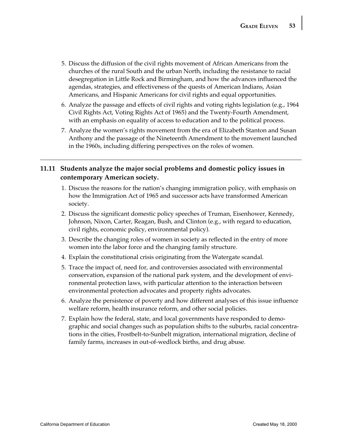- 5. Discuss the diffusion of the civil rights movement of African Americans from the churches of the rural South and the urban North, including the resistance to racial desegregation in Little Rock and Birmingham, and how the advances influenced the agendas, strategies, and effectiveness of the quests of American Indians, Asian Americans, and Hispanic Americans for civil rights and equal opportunities.
- 6. Analyze the passage and effects of civil rights and voting rights legislation (e.g., 1964 Civil Rights Act, Voting Rights Act of 1965) and the Twenty-Fourth Amendment, with an emphasis on equality of access to education and to the political process.
- 7. Analyze the women's rights movement from the era of Elizabeth Stanton and Susan Anthony and the passage of the Nineteenth Amendment to the movement launched in the 1960s, including differing perspectives on the roles of women.

### **11.11 Students analyze the major social problems and domestic policy issues in contemporary American society.**

- 1. Discuss the reasons for the nation's changing immigration policy, with emphasis on how the Immigration Act of 1965 and successor acts have transformed American society.
- 2. Discuss the significant domestic policy speeches of Truman, Eisenhower, Kennedy, Johnson, Nixon, Carter, Reagan, Bush, and Clinton (e.g., with regard to education, civil rights, economic policy, environmental policy).
- 3. Describe the changing roles of women in society as reflected in the entry of more women into the labor force and the changing family structure.
- 4. Explain the constitutional crisis originating from the Watergate scandal.
- 5. Trace the impact of, need for, and controversies associated with environmental conservation, expansion of the national park system, and the development of environmental protection laws, with particular attention to the interaction between environmental protection advocates and property rights advocates.
- 6. Analyze the persistence of poverty and how different analyses of this issue influence welfare reform, health insurance reform, and other social policies.
- 7. Explain how the federal, state, and local governments have responded to demographic and social changes such as population shifts to the suburbs, racial concentrations in the cities, Frostbelt-to-Sunbelt migration, international migration, decline of family farms, increases in out-of-wedlock births, and drug abuse.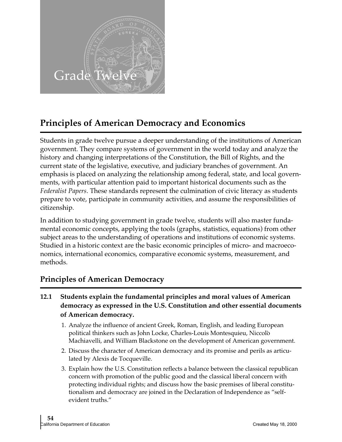

## **Principles of American Democracy and Economics**

Students in grade twelve pursue a deeper understanding of the institutions of American government. They compare systems of government in the world today and analyze the history and changing interpretations of the Constitution, the Bill of Rights, and the current state of the legislative, executive, and judiciary branches of government. An emphasis is placed on analyzing the relationship among federal, state, and local governments, with particular attention paid to important historical documents such as the *Federalist Papers*. These standards represent the culmination of civic literacy as students prepare to vote, participate in community activities, and assume the responsibilities of citizenship.

In addition to studying government in grade twelve, students will also master fundamental economic concepts, applying the tools (graphs, statistics, equations) from other subject areas to the understanding of operations and institutions of economic systems. Studied in a historic context are the basic economic principles of micro- and macroeconomics, international economics, comparative economic systems, measurement, and methods.

## **Principles of American Democracy**

- **12.1 Students explain the fundamental principles and moral values of American democracy as expressed in the U.S. Constitution and other essential documents of American democracy.** 
	- 1. Analyze the influence of ancient Greek, Roman, English, and leading European political thinkers such as John Locke, Charles-Louis Montesquieu, Niccolò Machiavelli, and William Blackstone on the development of American government.
	- 2. Discuss the character of American democracy and its promise and perils as articulated by Alexis de Tocqueville.
	- 3. Explain how the U.S. Constitution reflects a balance between the classical republican concern with promotion of the public good and the classical liberal concern with protecting individual rights; and discuss how the basic premises of liberal constitutionalism and democracy are joined in the Declaration of Independence as "selfevident truths."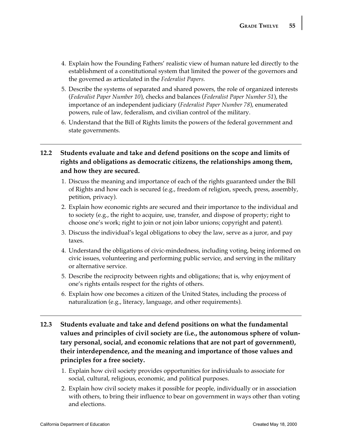- 4. Explain how the Founding Fathers' realistic view of human nature led directly to the establishment of a constitutional system that limited the power of the governors and the governed as articulated in the *Federalist Papers.*
- 5. Describe the systems of separated and shared powers, the role of organized interests (*Federalist Paper Number 10*), checks and balances (*Federalist Paper Number 51*), the importance of an independent judiciary (*Federalist Paper Number 78*), enumerated powers, rule of law, federalism, and civilian control of the military.
- 6. Understand that the Bill of Rights limits the powers of the federal government and state governments.

## **12.2 Students evaluate and take and defend positions on the scope and limits of rights and obligations as democratic citizens, the relationships among them, and how they are secured.**

- 1. Discuss the meaning and importance of each of the rights guaranteed under the Bill of Rights and how each is secured (e.g., freedom of religion, speech, press, assembly, petition, privacy).
- 2. Explain how economic rights are secured and their importance to the individual and to society (e.g., the right to acquire, use, transfer, and dispose of property; right to choose one's work; right to join or not join labor unions; copyright and patent).
- 3. Discuss the individual's legal obligations to obey the law, serve as a juror, and pay taxes.
- 4. Understand the obligations of civic-mindedness, including voting, being informed on civic issues, volunteering and performing public service, and serving in the military or alternative service.
- 5. Describe the reciprocity between rights and obligations; that is, why enjoyment of one's rights entails respect for the rights of others.
- 6. Explain how one becomes a citizen of the United States, including the process of naturalization (e.g., literacy, language, and other requirements).
- **12.3 Students evaluate and take and defend positions on what the fundamental values and principles of civil society are (i.e., the autonomous sphere of voluntary personal, social, and economic relations that are not part of government), their interdependence, and the meaning and importance of those values and principles for a free society.** 
	- 1. Explain how civil society provides opportunities for individuals to associate for social, cultural, religious, economic, and political purposes.
	- 2. Explain how civil society makes it possible for people, individually or in association with others, to bring their influence to bear on government in ways other than voting and elections.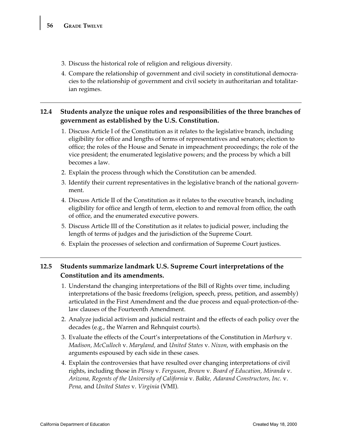- 3. Discuss the historical role of religion and religious diversity.
- 4. Compare the relationship of government and civil society in constitutional democracies to the relationship of government and civil society in authoritarian and totalitarian regimes.

## **12.4 Students analyze the unique roles and responsibilities of the three branches of government as established by the U.S. Constitution.**

- 1. Discuss Article I of the Constitution as it relates to the legislative branch, including eligibility for office and lengths of terms of representatives and senators; election to office; the roles of the House and Senate in impeachment proceedings; the role of the vice president; the enumerated legislative powers; and the process by which a bill becomes a law.
- 2. Explain the process through which the Constitution can be amended.
- 3. Identify their current representatives in the legislative branch of the national government.
- 4. Discuss Article II of the Constitution as it relates to the executive branch, including eligibility for office and length of term, election to and removal from office, the oath of office, and the enumerated executive powers.
- 5. Discuss Article III of the Constitution as it relates to judicial power, including the length of terms of judges and the jurisdiction of the Supreme Court.
- 6. Explain the processes of selection and confirmation of Supreme Court justices.

## **12.5 Students summarize landmark U.S. Supreme Court interpretations of the Constitution and its amendments.**

- 1. Understand the changing interpretations of the Bill of Rights over time, including interpretations of the basic freedoms (religion, speech, press, petition, and assembly) articulated in the First Amendment and the due process and equal-protection-of-thelaw clauses of the Fourteenth Amendment.
- 2. Analyze judicial activism and judicial restraint and the effects of each policy over the decades (e.g., the Warren and Rehnquist courts).
- 3. Evaluate the effects of the Court's interpretations of the Constitution in *Marbury* v. *Madison, McCulloch* v. *Maryland,* and *United States* v. *Nixon*, with emphasis on the arguments espoused by each side in these cases.
- 4. Explain the controversies that have resulted over changing interpretations of civil rights, including those in *Plessy* v. *Ferguson*, *Brown* v. *Board of Education, Miranda* v. *Arizona, Regents of the University of California* v. *Bakke, Adarand Constructors, Inc.* v. *Pena,* and *United States* v. *Virginia* (VMI).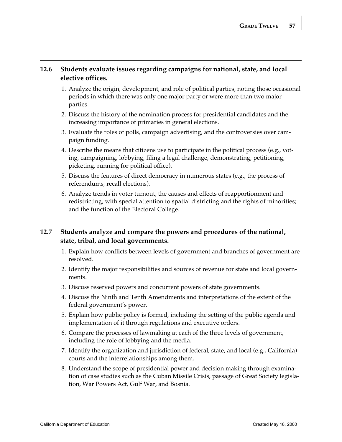### **12.6 Students evaluate issues regarding campaigns for national, state, and local elective offices.**

- 1. Analyze the origin, development, and role of political parties, noting those occasional periods in which there was only one major party or were more than two major parties.
- 2. Discuss the history of the nomination process for presidential candidates and the increasing importance of primaries in general elections.
- 3. Evaluate the roles of polls, campaign advertising, and the controversies over campaign funding.
- 4. Describe the means that citizens use to participate in the political process (e.g., voting, campaigning, lobbying, filing a legal challenge, demonstrating, petitioning, picketing, running for political office).
- 5. Discuss the features of direct democracy in numerous states (e.g., the process of referendums, recall elections).
- 6. Analyze trends in voter turnout; the causes and effects of reapportionment and redistricting, with special attention to spatial districting and the rights of minorities; and the function of the Electoral College.

## **12.7 Students analyze and compare the powers and procedures of the national, state, tribal, and local governments.**

- 1. Explain how conflicts between levels of government and branches of government are resolved.
- 2. Identify the major responsibilities and sources of revenue for state and local governments.
- 3. Discuss reserved powers and concurrent powers of state governments.
- 4. Discuss the Ninth and Tenth Amendments and interpretations of the extent of the federal government's power.
- 5. Explain how public policy is formed, including the setting of the public agenda and implementation of it through regulations and executive orders.
- 6. Compare the processes of lawmaking at each of the three levels of government, including the role of lobbying and the media.
- 7. Identify the organization and jurisdiction of federal, state, and local (e.g., California) courts and the interrelationships among them.
- 8. Understand the scope of presidential power and decision making through examination of case studies such as the Cuban Missile Crisis, passage of Great Society legislation, War Powers Act, Gulf War, and Bosnia.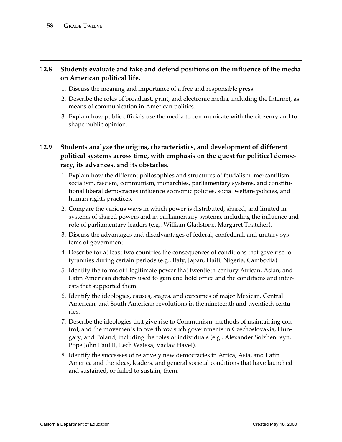## **12.8 Students evaluate and take and defend positions on the influence of the media on American political life.**

- 1. Discuss the meaning and importance of a free and responsible press.
- 2. Describe the roles of broadcast, print, and electronic media, including the Internet, as means of communication in American politics.
- 3. Explain how public officials use the media to communicate with the citizenry and to shape public opinion.

## **12.9 Students analyze the origins, characteristics, and development of different political systems across time, with emphasis on the quest for political democracy, its advances, and its obstacles.**

- 1. Explain how the different philosophies and structures of feudalism, mercantilism, socialism, fascism, communism, monarchies, parliamentary systems, and constitutional liberal democracies influence economic policies, social welfare policies, and human rights practices.
- 2. Compare the various ways in which power is distributed, shared, and limited in systems of shared powers and in parliamentary systems, including the influence and role of parliamentary leaders (e.g., William Gladstone, Margaret Thatcher).
- 3. Discuss the advantages and disadvantages of federal, confederal, and unitary systems of government.
- 4. Describe for at least two countries the consequences of conditions that gave rise to tyrannies during certain periods (e.g., Italy, Japan, Haiti, Nigeria, Cambodia).
- 5. Identify the forms of illegitimate power that twentieth-century African, Asian, and Latin American dictators used to gain and hold office and the conditions and interests that supported them.
- 6. Identify the ideologies, causes, stages, and outcomes of major Mexican, Central American, and South American revolutions in the nineteenth and twentieth centuries.
- 7. Describe the ideologies that give rise to Communism, methods of maintaining control, and the movements to overthrow such governments in Czechoslovakia, Hungary, and Poland, including the roles of individuals (e.g., Alexander Solzhenitsyn, Pope John Paul II, Lech Walesa, Vaclav Havel).
- 8. Identify the successes of relatively new democracies in Africa, Asia, and Latin America and the ideas, leaders, and general societal conditions that have launched and sustained, or failed to sustain, them.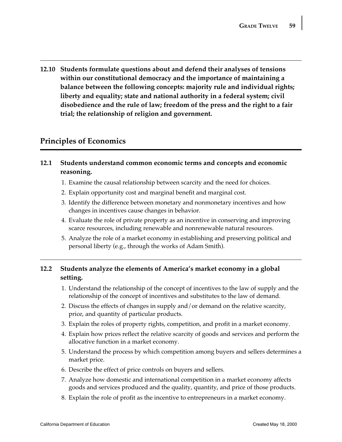**12.10 Students formulate questions about and defend their analyses of tensions within our constitutional democracy and the importance of maintaining a balance between the following concepts: majority rule and individual rights; liberty and equality; state and national authority in a federal system; civil disobedience and the rule of law; freedom of the press and the right to a fair trial; the relationship of religion and government.** 

## **Principles of Economics**

## **12.1 Students understand common economic terms and concepts and economic reasoning.**

- 1. Examine the causal relationship between scarcity and the need for choices.
- 2. Explain opportunity cost and marginal benefit and marginal cost.
- 3. Identify the difference between monetary and nonmonetary incentives and how changes in incentives cause changes in behavior.
- 4. Evaluate the role of private property as an incentive in conserving and improving scarce resources, including renewable and nonrenewable natural resources.
- 5. Analyze the role of a market economy in establishing and preserving political and personal liberty (e.g., through the works of Adam Smith).

## **12.2 Students analyze the elements of America's market economy in a global setting.**

- 1. Understand the relationship of the concept of incentives to the law of supply and the relationship of the concept of incentives and substitutes to the law of demand.
- 2. Discuss the effects of changes in supply and/or demand on the relative scarcity, price, and quantity of particular products.
- 3. Explain the roles of property rights, competition, and profit in a market economy.
- 4. Explain how prices reflect the relative scarcity of goods and services and perform the allocative function in a market economy.
- 5. Understand the process by which competition among buyers and sellers determines a market price.
- 6. Describe the effect of price controls on buyers and sellers.
- 7. Analyze how domestic and international competition in a market economy affects goods and services produced and the quality, quantity, and price of those products.
- 8. Explain the role of profit as the incentive to entrepreneurs in a market economy.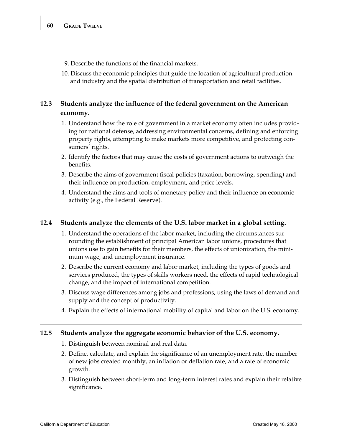- 9. Describe the functions of the financial markets.
- 10. Discuss the economic principles that guide the location of agricultural production and industry and the spatial distribution of transportation and retail facilities.

## **12.3 Students analyze the influence of the federal government on the American economy.**

- 1. Understand how the role of government in a market economy often includes providing for national defense, addressing environmental concerns, defining and enforcing property rights, attempting to make markets more competitive, and protecting consumers' rights.
- 2. Identify the factors that may cause the costs of government actions to outweigh the benefits.
- 3. Describe the aims of government fiscal policies (taxation, borrowing, spending) and their influence on production, employment, and price levels.
- 4. Understand the aims and tools of monetary policy and their influence on economic activity (e.g., the Federal Reserve).

#### **12.4 Students analyze the elements of the U.S. labor market in a global setting.**

- 1. Understand the operations of the labor market, including the circumstances surrounding the establishment of principal American labor unions, procedures that unions use to gain benefits for their members, the effects of unionization, the minimum wage, and unemployment insurance.
- 2. Describe the current economy and labor market, including the types of goods and services produced, the types of skills workers need, the effects of rapid technological change, and the impact of international competition.
- 3. Discuss wage differences among jobs and professions, using the laws of demand and supply and the concept of productivity.
- 4. Explain the effects of international mobility of capital and labor on the U.S. economy.

#### **12.5 Students analyze the aggregate economic behavior of the U.S. economy.**

- 1. Distinguish between nominal and real data.
- 2. Define, calculate, and explain the significance of an unemployment rate, the number of new jobs created monthly, an inflation or deflation rate, and a rate of economic growth.
- 3. Distinguish between short-term and long-term interest rates and explain their relative significance.